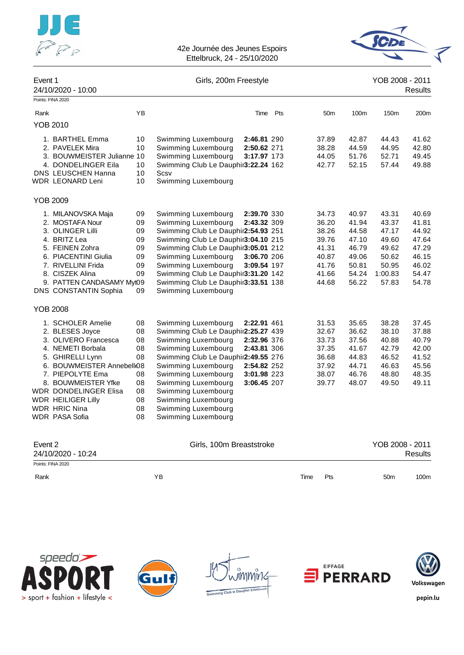



| Event 1 | 24/10/2020 - 10:00           |    | Girls, 200m Freestyle               |     |                 |       | YOB 2008 - 2011 | Results |
|---------|------------------------------|----|-------------------------------------|-----|-----------------|-------|-----------------|---------|
|         | Points: FINA 2020            |    |                                     |     |                 |       |                 |         |
| Rank    |                              | YB | Time                                | Pts | 50 <sub>m</sub> | 100m  | 150m            | 200m    |
|         | <b>YOB 2010</b>              |    |                                     |     |                 |       |                 |         |
|         | 1. BARTHEL Emma              | 10 | Swimming Luxembourg<br>2:46.81 290  |     | 37.89           | 42.87 | 44.43           | 41.62   |
|         | 2. PAVELEK Mira              | 10 | Swimming Luxembourg<br>2:50.62 271  |     | 38.28           | 44.59 | 44.95           | 42.80   |
|         | 3. BOUWMEISTER Julianne 10   |    | Swimming Luxembourg<br>3:17.97 173  |     | 44.05           | 51.76 | 52.71           | 49.45   |
|         | 4. DONDELINGER Eila          | 10 | Swimming Club Le Dauphir3:22.24 162 |     | 42.77           | 52.15 | 57.44           | 49.88   |
|         | <b>DNS LEUSCHEN Hanna</b>    | 10 | Scsv                                |     |                 |       |                 |         |
|         | WDR LEONARD Leni             | 10 | Swimming Luxembourg                 |     |                 |       |                 |         |
|         | <b>YOB 2009</b>              |    |                                     |     |                 |       |                 |         |
|         | 1. MILANOVSKA Maja           | 09 | Swimming Luxembourg<br>2:39.70 330  |     | 34.73           | 40.97 | 43.31           | 40.69   |
|         | 2. MOSTAFA Nour              | 09 | Swimming Luxembourg<br>2:43.32 309  |     | 36.20           | 41.94 | 43.37           | 41.81   |
|         | 3. OLINGER Lilli             | 09 | Swimming Club Le Dauphir2:54.93 251 |     | 38.26           | 44.58 | 47.17           | 44.92   |
|         | 4. BRITZ Lea                 | 09 | Swimming Club Le Dauphir3:04.10 215 |     | 39.76           | 47.10 | 49.60           | 47.64   |
|         | 5. FEINEN Zohra              | 09 | Swimming Club Le Dauphir3:05.01 212 |     | 41.31           | 46.79 | 49.62           | 47.29   |
|         | 6. PIACENTINI Giulia         | 09 | Swimming Luxembourg<br>3:06.70 206  |     | 40.87           | 49.06 | 50.62           | 46.15   |
|         | 7. RIVELLINI Frida           | 09 | Swimming Luxembourg<br>3:09.54 197  |     | 41.76           | 50.81 | 50.95           | 46.02   |
|         | 8. CISZEK Alina              | 09 | Swimming Club Le Dauphir3:31.20 142 |     | 41.66           | 54.24 | 1:00.83         | 54.47   |
|         | 9. PATTEN CANDASAMY My109    |    | Swimming Club Le Dauphir3:33.51 138 |     | 44.68           | 56.22 | 57.83           | 54.78   |
|         | DNS CONSTANTIN Sophia        | 09 | Swimming Luxembourg                 |     |                 |       |                 |         |
|         | <b>YOB 2008</b>              |    |                                     |     |                 |       |                 |         |
|         | 1. SCHOLER Amelie            | 08 | Swimming Luxembourg<br>2:22.91 461  |     | 31.53           | 35.65 | 38.28           | 37.45   |
|         | 2. BLESES Joyce              | 08 | Swimming Club Le Dauphir2:25.27 439 |     | 32.67           | 36.62 | 38.10           | 37.88   |
|         | 3. OLIVERO Francesca         | 08 | Swimming Luxembourg<br>2:32.96 376  |     | 33.73           | 37.56 | 40.88           | 40.79   |
|         | 4. NEMETI Borbala            | 08 | Swimming Luxembourg<br>2:43.81 306  |     | 37.35           | 41.67 | 42.79           | 42.00   |
|         | 5. GHIRELLI Lynn             | 08 | Swimming Club Le Dauphir2:49.55 276 |     | 36.68           | 44.83 | 46.52           | 41.52   |
|         | 6. BOUWMEISTER Annebell(08   |    | Swimming Luxembourg<br>2:54.82 252  |     | 37.92           | 44.71 | 46.63           | 45.56   |
|         | 7. PIEPOLYTE Ema             | 08 | Swimming Luxembourg<br>3:01.98 223  |     | 38.07           | 46.76 | 48.80           | 48.35   |
|         | 8. BOUWMEISTER Yfke          | 08 | Swimming Luxembourg<br>3:06.45 207  |     | 39.77           | 48.07 | 49.50           | 49.11   |
|         | <b>WDR DONDELINGER Elisa</b> | 08 | Swimming Luxembourg                 |     |                 |       |                 |         |
|         | <b>WDR HEILIGER Lilly</b>    | 08 | Swimming Luxembourg                 |     |                 |       |                 |         |
|         | WDR HRIC Nina                | 08 | Swimming Luxembourg                 |     |                 |       |                 |         |
|         | <b>WDR PASA Sofia</b>        | 08 | Swimming Luxembourg                 |     |                 |       |                 |         |
| Event 2 |                              |    | Girls, 100m Breaststroke            |     |                 |       | YOB 2008 - 2011 |         |
|         | 24/10/2020 - 10:24           |    |                                     |     |                 |       |                 | Results |

| 24/ IVIZUZU - IV.24 |    |      |     | nesulls                 |  |
|---------------------|----|------|-----|-------------------------|--|
| Points: FINA 2020   |    |      |     |                         |  |
| Rank                | YB | Time | Pts | 50 <sub>m</sub><br>100m |  |
|                     |    |      |     |                         |  |









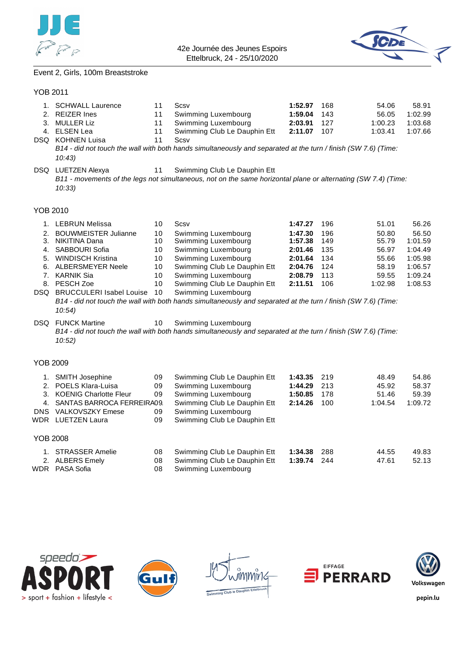



### Event 2, Girls, 100m Breaststroke

#### YOB 2011

| 1.              | <b>SCHWALL Laurence</b>       | 11 | Scsv                                                                                                                                          | 1:52.97 | 168 | 54.06   | 58.91   |
|-----------------|-------------------------------|----|-----------------------------------------------------------------------------------------------------------------------------------------------|---------|-----|---------|---------|
|                 | 2. REIZER Ines                | 11 | Swimming Luxembourg                                                                                                                           | 1:59.04 | 143 | 56.05   | 1:02.99 |
|                 | 3. MULLER Liz                 | 11 | Swimming Luxembourg                                                                                                                           | 2:03.91 | 127 | 1:00.23 | 1:03.68 |
|                 | 4. ELSEN Lea                  | 11 | Swimming Club Le Dauphin Ett                                                                                                                  | 2:11.07 | 107 | 1:03.41 | 1:07.66 |
|                 | DSQ KOHNEN Luisa              | 11 | Scsv                                                                                                                                          |         |     |         |         |
|                 |                               |    | B14 - did not touch the wall with both hands simultaneously and separated at the turn / finish (SW 7.6) (Time:                                |         |     |         |         |
|                 | 10:43                         |    |                                                                                                                                               |         |     |         |         |
|                 |                               |    |                                                                                                                                               |         |     |         |         |
|                 | DSQ LUETZEN Alexya            | 11 | Swimming Club Le Dauphin Ett<br>B11 - movements of the legs not simultaneous, not on the same horizontal plane or alternating (SW 7.4) (Time: |         |     |         |         |
|                 |                               |    |                                                                                                                                               |         |     |         |         |
|                 | 10:33                         |    |                                                                                                                                               |         |     |         |         |
|                 |                               |    |                                                                                                                                               |         |     |         |         |
| <b>YOB 2010</b> |                               |    |                                                                                                                                               |         |     |         |         |
|                 | 1. LEBRUN Melissa             | 10 | Scsv                                                                                                                                          | 1:47.27 | 196 | 51.01   | 56.26   |
|                 | 2. BOUWMEISTER Julianne       | 10 | Swimming Luxembourg                                                                                                                           | 1:47.30 | 196 | 50.80   | 56.50   |
|                 | 3. NIKITINA Dana              | 10 | Swimming Luxembourg                                                                                                                           | 1:57.38 | 149 | 55.79   | 1:01.59 |
|                 | 4. SABBOURI Sofia             | 10 | Swimming Luxembourg                                                                                                                           | 2:01.46 | 135 | 56.97   | 1:04.49 |
|                 | 5. WINDISCH Kristina          | 10 | Swimming Luxembourg                                                                                                                           | 2:01.64 | 134 | 55.66   | 1:05.98 |
|                 | 6. ALBERSMEYER Neele          | 10 | Swimming Club Le Dauphin Ett                                                                                                                  | 2:04.76 | 124 | 58.19   | 1:06.57 |
|                 | 7. KARNIK Sia                 | 10 | Swimming Luxembourg                                                                                                                           | 2:08.79 | 113 | 59.55   | 1:09.24 |
|                 | 8. PESCH Zoe                  | 10 | Swimming Club Le Dauphin Ett                                                                                                                  | 2:11.51 | 106 | 1:02.98 | 1:08.53 |
|                 | DSQ BRUCCULERI Isabel Louise  | 10 | Swimming Luxembourg                                                                                                                           |         |     |         |         |
|                 |                               |    | B14 - did not touch the wall with both hands simultaneously and separated at the turn / finish (SW 7.6) (Time:                                |         |     |         |         |
|                 | 10:54)                        |    |                                                                                                                                               |         |     |         |         |
|                 |                               |    |                                                                                                                                               |         |     |         |         |
| DSQ.            | <b>FUNCK Martine</b>          | 10 | Swimming Luxembourg                                                                                                                           |         |     |         |         |
|                 |                               |    | B14 - did not touch the wall with both hands simultaneously and separated at the turn / finish (SW 7.6) (Time:                                |         |     |         |         |
|                 | 10:52)                        |    |                                                                                                                                               |         |     |         |         |
|                 |                               |    |                                                                                                                                               |         |     |         |         |
| <b>YOB 2009</b> |                               |    |                                                                                                                                               |         |     |         |         |
|                 | 1. SMITH Josephine            | 09 | Swimming Club Le Dauphin Ett                                                                                                                  | 1:43.35 | 219 | 48.49   | 54.86   |
|                 | 2. POELS Klara-Luisa          | 09 | Swimming Luxembourg                                                                                                                           | 1:44.29 | 213 | 45.92   | 58.37   |
|                 | 3. KOENIG Charlotte Fleur     | 09 | Swimming Luxembourg                                                                                                                           | 1:50.85 | 178 | 51.46   | 59.39   |
|                 | 4. SANTAS BARROCA FERREIRA09. |    | Swimming Club Le Dauphin Ett                                                                                                                  | 2:14.26 | 100 | 1:04.54 | 1:09.72 |
|                 | DNS VALKOVSZKY Emese          | 09 | Swimming Luxembourg                                                                                                                           |         |     |         |         |
|                 | WDR LUETZEN Laura             | 09 | Swimming Club Le Dauphin Ett                                                                                                                  |         |     |         |         |
|                 |                               |    |                                                                                                                                               |         |     |         |         |
| <b>YOB 2008</b> |                               |    |                                                                                                                                               |         |     |         |         |
|                 | 1. STRASSER Amelie            | 08 | Swimming Club Le Dauphin Ett                                                                                                                  | 1:34.38 | 288 | 44.55   | 49.83   |
|                 | 2. ALBERS Emely               | 08 | Swimming Club Le Dauphin Ett                                                                                                                  | 1:39.74 | 244 | 47.61   | 52.13   |
|                 | WDR PASA Sofia                | 08 | Swimming Luxembourg                                                                                                                           |         |     |         |         |
|                 |                               |    |                                                                                                                                               |         |     |         |         |









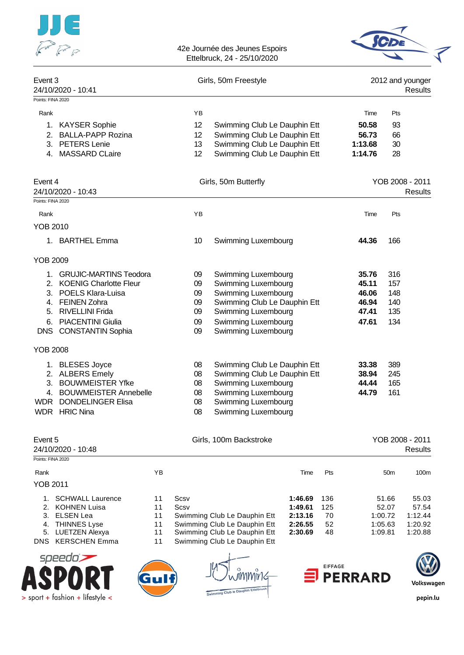



| Points: FINA 2020<br>Rank<br>1. KAYSER Sophie<br><b>BALLA-PAPP Rozina</b><br>2.<br>3. PETERS Lenie<br><b>MASSARD CLaire</b><br>4.<br>Event 4<br>24/10/2020 - 10:43<br>Points: FINA 2020<br>Rank<br><b>YOB 2010</b><br>1. BARTHEL Emma | YB<br>12<br>12<br>13<br>12 <sub>2</sub><br>YB<br>10 | Swimming Club Le Dauphin Ett<br>Swimming Club Le Dauphin Ett<br>Swimming Club Le Dauphin Ett<br>Swimming Club Le Dauphin Ett<br>Girls, 50m Butterfly<br>Swimming Luxembourg |                    |                | Time<br>50.58<br>56.73<br>1:13.68<br>1:14.76<br>Time | Pts<br>93<br>66<br>30<br>28<br>Pts | YOB 2008 - 2011<br>Results        |
|---------------------------------------------------------------------------------------------------------------------------------------------------------------------------------------------------------------------------------------|-----------------------------------------------------|-----------------------------------------------------------------------------------------------------------------------------------------------------------------------------|--------------------|----------------|------------------------------------------------------|------------------------------------|-----------------------------------|
|                                                                                                                                                                                                                                       |                                                     |                                                                                                                                                                             |                    |                |                                                      |                                    |                                   |
|                                                                                                                                                                                                                                       |                                                     |                                                                                                                                                                             |                    |                |                                                      |                                    |                                   |
|                                                                                                                                                                                                                                       |                                                     |                                                                                                                                                                             |                    |                |                                                      |                                    |                                   |
|                                                                                                                                                                                                                                       |                                                     |                                                                                                                                                                             |                    |                |                                                      |                                    |                                   |
|                                                                                                                                                                                                                                       |                                                     |                                                                                                                                                                             |                    |                |                                                      |                                    |                                   |
|                                                                                                                                                                                                                                       |                                                     |                                                                                                                                                                             |                    |                |                                                      |                                    |                                   |
|                                                                                                                                                                                                                                       |                                                     |                                                                                                                                                                             |                    |                |                                                      |                                    |                                   |
|                                                                                                                                                                                                                                       |                                                     |                                                                                                                                                                             |                    |                |                                                      |                                    |                                   |
|                                                                                                                                                                                                                                       |                                                     |                                                                                                                                                                             |                    |                |                                                      |                                    |                                   |
|                                                                                                                                                                                                                                       |                                                     |                                                                                                                                                                             |                    |                | 44.36                                                | 166                                |                                   |
| <b>YOB 2009</b>                                                                                                                                                                                                                       |                                                     |                                                                                                                                                                             |                    |                |                                                      |                                    |                                   |
| 1. GRUJIC-MARTINS Teodora                                                                                                                                                                                                             | 09                                                  | Swimming Luxembourg                                                                                                                                                         |                    |                | 35.76                                                | 316                                |                                   |
| 2. KOENIG Charlotte Fleur                                                                                                                                                                                                             | 09                                                  | Swimming Luxembourg                                                                                                                                                         |                    |                | 45.11                                                | 157                                |                                   |
| 3. POELS Klara-Luisa<br><b>FEINEN Zohra</b><br>4.                                                                                                                                                                                     | 09<br>09                                            | Swimming Luxembourg<br>Swimming Club Le Dauphin Ett                                                                                                                         |                    |                | 46.06<br>46.94                                       | 148<br>140                         |                                   |
| <b>RIVELLINI Frida</b><br>5.                                                                                                                                                                                                          | 09                                                  | Swimming Luxembourg                                                                                                                                                         |                    |                | 47.41                                                | 135                                |                                   |
| <b>PIACENTINI Giulia</b><br>6.                                                                                                                                                                                                        | 09                                                  | Swimming Luxembourg                                                                                                                                                         |                    |                | 47.61                                                | 134                                |                                   |
| DNS CONSTANTIN Sophia                                                                                                                                                                                                                 | 09                                                  | Swimming Luxembourg                                                                                                                                                         |                    |                |                                                      |                                    |                                   |
| <b>YOB 2008</b>                                                                                                                                                                                                                       |                                                     |                                                                                                                                                                             |                    |                |                                                      |                                    |                                   |
| 1. BLESES Joyce                                                                                                                                                                                                                       | 08                                                  | Swimming Club Le Dauphin Ett                                                                                                                                                |                    |                | 33.38                                                | 389                                |                                   |
| 2. ALBERS Emely                                                                                                                                                                                                                       | 08                                                  | Swimming Club Le Dauphin Ett                                                                                                                                                |                    |                | 38.94                                                | 245                                |                                   |
| 3. BOUWMEISTER Yfke<br>4. BOUWMEISTER Annebelle                                                                                                                                                                                       | 08<br>08                                            | Swimming Luxembourg<br>Swimming Luxembourg                                                                                                                                  |                    |                | 44.44<br>44.79                                       | 165<br>161                         |                                   |
| <b>DONDELINGER Elisa</b><br>WDR                                                                                                                                                                                                       | 08                                                  | Swimming Luxembourg                                                                                                                                                         |                    |                |                                                      |                                    |                                   |
| <b>WDR</b> HRIC Nina                                                                                                                                                                                                                  | 08                                                  | Swimming Luxembourg                                                                                                                                                         |                    |                |                                                      |                                    |                                   |
| Event 5<br>24/10/2020 - 10:48                                                                                                                                                                                                         |                                                     | Girls, 100m Backstroke                                                                                                                                                      |                    |                |                                                      |                                    | YOB 2008 - 2011<br><b>Results</b> |
| Points: FINA 2020                                                                                                                                                                                                                     |                                                     |                                                                                                                                                                             |                    |                |                                                      |                                    |                                   |
| YB<br>Rank                                                                                                                                                                                                                            |                                                     |                                                                                                                                                                             | Time               | Pts            |                                                      | 50 <sub>m</sub>                    | 100m                              |
| <b>YOB 2011</b>                                                                                                                                                                                                                       |                                                     |                                                                                                                                                                             |                    |                |                                                      |                                    |                                   |
| 1. SCHWALL Laurence<br>11<br>Scsv                                                                                                                                                                                                     |                                                     |                                                                                                                                                                             | 1:46.69            | 136            |                                                      | 51.66                              | 55.03                             |
| KOHNEN Luisa<br>Scsv<br>2.<br>11<br><b>ELSEN Lea</b><br>3.                                                                                                                                                                            |                                                     |                                                                                                                                                                             | 1:49.61            | 125<br>70      |                                                      | 52.07                              | 57.54<br>1:12.44                  |
| 11<br><b>THINNES Lyse</b><br>11<br>4.                                                                                                                                                                                                 |                                                     | Swimming Club Le Dauphin Ett<br>Swimming Club Le Dauphin Ett                                                                                                                | 2:13.16<br>2:26.55 | 52             |                                                      | 1:00.72<br>1:05.63                 | 1:20.92                           |
| <b>LUETZEN Alexya</b><br>5.<br>11<br><b>KERSCHEN Emma</b><br>11<br><b>DNS</b>                                                                                                                                                         |                                                     | Swimming Club Le Dauphin Ett                                                                                                                                                | 2:30.69            | 48             | 1:09.81                                              |                                    | 1:20.88                           |
| speedo                                                                                                                                                                                                                                |                                                     | Swimming Club Le Dauphin Ett                                                                                                                                                |                    |                |                                                      |                                    |                                   |
|                                                                                                                                                                                                                                       |                                                     |                                                                                                                                                                             |                    | <b>EIFFAGE</b> |                                                      |                                    |                                   |
|                                                                                                                                                                                                                                       |                                                     |                                                                                                                                                                             |                    |                | <b>D</b> PERRARD                                     |                                    | Volkswagen                        |
| $>$ sport + fashion + lifestyle <                                                                                                                                                                                                     |                                                     | wimming Club to Dauphin Ettelbrud                                                                                                                                           |                    |                |                                                      |                                    | pepin.lu                          |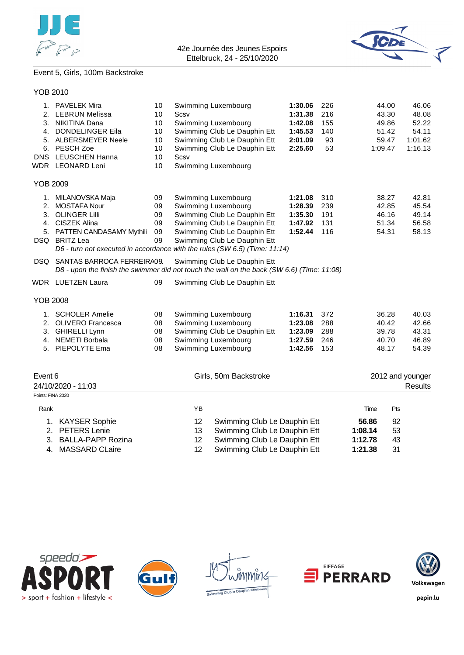



# Event 5, Girls, 100m Backstroke

### YOB 2010

| 216<br>43.30<br>2. LEBRUN Melissa<br>10<br>Scsv<br>1:31.38<br>48.08<br>Swimming Luxembourg<br>52.22<br>3. NIKITINA Dana<br>10<br>1:42.08<br>155<br>49.86<br>Swimming Club Le Dauphin Ett<br>4. DONDELINGER Eila<br>10<br>1:45.53<br>51.42<br>54.11<br>140<br>Swimming Club Le Dauphin Ett<br>1:01.62<br>5. ALBERSMEYER Neele<br>10<br>2:01.09<br>93<br>59.47<br>PESCH Zoe<br>10<br>Swimming Club Le Dauphin Ett<br>2:25.60<br>53<br>1:09.47<br>1:16.13<br>6.<br><b>LEUSCHEN Hanna</b><br><b>DNS</b><br>10<br>Scsv<br><b>WDR</b> LEONARD Leni<br>10<br>Swimming Luxembourg<br><b>YOB 2009</b><br>09<br>42.81<br>MILANOVSKA Maja<br>Swimming Luxembourg<br>1:21.08<br>310<br>38.27<br>1.<br><b>MOSTAFA Nour</b><br>09<br>Swimming Luxembourg<br>239<br>45.54<br>2.<br>1:28.39<br>42.85<br>3. OLINGER Lilli<br>09<br>Swimming Club Le Dauphin Ett<br>191<br>46.16<br>49.14<br>1:35.30<br>4. CISZEK Alina<br>09<br>Swimming Club Le Dauphin Ett<br>51.34<br>56.58<br>1:47.92<br>131<br>09<br>Swimming Club Le Dauphin Ett<br>58.13<br>5. PATTEN CANDASAMY Mythili<br>1:52.44<br>116<br>54.31<br>DSQ BRITZ Lea<br>09<br>Swimming Club Le Dauphin Ett<br>D6 - turn not executed in accordance with the rules (SW 6.5) (Time: 11:14)<br>DSQ SANTAS BARROCA FERREIRA09<br>Swimming Club Le Dauphin Ett<br>D8 - upon the finish the swimmer did not touch the wall on the back (SW 6.6) (Time: 11:08)<br><b>WDR</b> LUETZEN Laura<br>09<br>Swimming Club Le Dauphin Ett<br><b>YOB 2008</b><br><b>SCHOLER Amelie</b><br>40.03<br>08<br>Swimming Luxembourg<br>1:16.31<br>372<br>36.28<br>1.<br>Swimming Luxembourg<br>42.66<br>2. OLIVERO Francesca<br>08<br>1:23.08<br>288<br>40.42<br>3. GHIRELLI Lynn<br>Swimming Club Le Dauphin Ett<br>43.31<br>08<br>1:23.09<br>288<br>39.78<br>Swimming Luxembourg<br>4. NEMETI Borbala<br>08<br>1:27.59<br>246<br>40.70<br>46.89<br>PIEPOLYTE Ema<br>Swimming Luxembourg<br>153<br>54.39<br>5.<br>08<br>1:42.56<br>48.17<br>Event 6<br>Girls, 50m Backstroke<br>2012 and younger<br>24/10/2020 - 11:03<br><b>Results</b><br>Points: FINA 2020<br>YB<br>Rank<br>Time<br>Pts<br>12<br>56.86<br>1. KAYSER Sophie<br>Swimming Club Le Dauphin Ett<br>92<br>2. PETERS Lenie<br>13<br>Swimming Club Le Dauphin Ett<br>53<br>1:08.14<br>12<br>Swimming Club Le Dauphin Ett<br>43<br>3.<br><b>BALLA-PAPP Rozina</b><br>1:12.78 | 1. | <b>PAVELEK Mira</b> | 10 | Swimming Luxembourg | 1:30.06 | 226 | 44.00 | 46.06 |
|------------------------------------------------------------------------------------------------------------------------------------------------------------------------------------------------------------------------------------------------------------------------------------------------------------------------------------------------------------------------------------------------------------------------------------------------------------------------------------------------------------------------------------------------------------------------------------------------------------------------------------------------------------------------------------------------------------------------------------------------------------------------------------------------------------------------------------------------------------------------------------------------------------------------------------------------------------------------------------------------------------------------------------------------------------------------------------------------------------------------------------------------------------------------------------------------------------------------------------------------------------------------------------------------------------------------------------------------------------------------------------------------------------------------------------------------------------------------------------------------------------------------------------------------------------------------------------------------------------------------------------------------------------------------------------------------------------------------------------------------------------------------------------------------------------------------------------------------------------------------------------------------------------------------------------------------------------------------------------------------------------------------------------------------------------------------------------------------------------------------------------------------------------------------------------------------------------------------------------------------------------------------------------------------------------------------------------------------------|----|---------------------|----|---------------------|---------|-----|-------|-------|
|                                                                                                                                                                                                                                                                                                                                                                                                                                                                                                                                                                                                                                                                                                                                                                                                                                                                                                                                                                                                                                                                                                                                                                                                                                                                                                                                                                                                                                                                                                                                                                                                                                                                                                                                                                                                                                                                                                                                                                                                                                                                                                                                                                                                                                                                                                                                                      |    |                     |    |                     |         |     |       |       |
|                                                                                                                                                                                                                                                                                                                                                                                                                                                                                                                                                                                                                                                                                                                                                                                                                                                                                                                                                                                                                                                                                                                                                                                                                                                                                                                                                                                                                                                                                                                                                                                                                                                                                                                                                                                                                                                                                                                                                                                                                                                                                                                                                                                                                                                                                                                                                      |    |                     |    |                     |         |     |       |       |
|                                                                                                                                                                                                                                                                                                                                                                                                                                                                                                                                                                                                                                                                                                                                                                                                                                                                                                                                                                                                                                                                                                                                                                                                                                                                                                                                                                                                                                                                                                                                                                                                                                                                                                                                                                                                                                                                                                                                                                                                                                                                                                                                                                                                                                                                                                                                                      |    |                     |    |                     |         |     |       |       |
|                                                                                                                                                                                                                                                                                                                                                                                                                                                                                                                                                                                                                                                                                                                                                                                                                                                                                                                                                                                                                                                                                                                                                                                                                                                                                                                                                                                                                                                                                                                                                                                                                                                                                                                                                                                                                                                                                                                                                                                                                                                                                                                                                                                                                                                                                                                                                      |    |                     |    |                     |         |     |       |       |
|                                                                                                                                                                                                                                                                                                                                                                                                                                                                                                                                                                                                                                                                                                                                                                                                                                                                                                                                                                                                                                                                                                                                                                                                                                                                                                                                                                                                                                                                                                                                                                                                                                                                                                                                                                                                                                                                                                                                                                                                                                                                                                                                                                                                                                                                                                                                                      |    |                     |    |                     |         |     |       |       |
|                                                                                                                                                                                                                                                                                                                                                                                                                                                                                                                                                                                                                                                                                                                                                                                                                                                                                                                                                                                                                                                                                                                                                                                                                                                                                                                                                                                                                                                                                                                                                                                                                                                                                                                                                                                                                                                                                                                                                                                                                                                                                                                                                                                                                                                                                                                                                      |    |                     |    |                     |         |     |       |       |
|                                                                                                                                                                                                                                                                                                                                                                                                                                                                                                                                                                                                                                                                                                                                                                                                                                                                                                                                                                                                                                                                                                                                                                                                                                                                                                                                                                                                                                                                                                                                                                                                                                                                                                                                                                                                                                                                                                                                                                                                                                                                                                                                                                                                                                                                                                                                                      |    |                     |    |                     |         |     |       |       |
|                                                                                                                                                                                                                                                                                                                                                                                                                                                                                                                                                                                                                                                                                                                                                                                                                                                                                                                                                                                                                                                                                                                                                                                                                                                                                                                                                                                                                                                                                                                                                                                                                                                                                                                                                                                                                                                                                                                                                                                                                                                                                                                                                                                                                                                                                                                                                      |    |                     |    |                     |         |     |       |       |
|                                                                                                                                                                                                                                                                                                                                                                                                                                                                                                                                                                                                                                                                                                                                                                                                                                                                                                                                                                                                                                                                                                                                                                                                                                                                                                                                                                                                                                                                                                                                                                                                                                                                                                                                                                                                                                                                                                                                                                                                                                                                                                                                                                                                                                                                                                                                                      |    |                     |    |                     |         |     |       |       |
|                                                                                                                                                                                                                                                                                                                                                                                                                                                                                                                                                                                                                                                                                                                                                                                                                                                                                                                                                                                                                                                                                                                                                                                                                                                                                                                                                                                                                                                                                                                                                                                                                                                                                                                                                                                                                                                                                                                                                                                                                                                                                                                                                                                                                                                                                                                                                      |    |                     |    |                     |         |     |       |       |
|                                                                                                                                                                                                                                                                                                                                                                                                                                                                                                                                                                                                                                                                                                                                                                                                                                                                                                                                                                                                                                                                                                                                                                                                                                                                                                                                                                                                                                                                                                                                                                                                                                                                                                                                                                                                                                                                                                                                                                                                                                                                                                                                                                                                                                                                                                                                                      |    |                     |    |                     |         |     |       |       |
|                                                                                                                                                                                                                                                                                                                                                                                                                                                                                                                                                                                                                                                                                                                                                                                                                                                                                                                                                                                                                                                                                                                                                                                                                                                                                                                                                                                                                                                                                                                                                                                                                                                                                                                                                                                                                                                                                                                                                                                                                                                                                                                                                                                                                                                                                                                                                      |    |                     |    |                     |         |     |       |       |
|                                                                                                                                                                                                                                                                                                                                                                                                                                                                                                                                                                                                                                                                                                                                                                                                                                                                                                                                                                                                                                                                                                                                                                                                                                                                                                                                                                                                                                                                                                                                                                                                                                                                                                                                                                                                                                                                                                                                                                                                                                                                                                                                                                                                                                                                                                                                                      |    |                     |    |                     |         |     |       |       |
|                                                                                                                                                                                                                                                                                                                                                                                                                                                                                                                                                                                                                                                                                                                                                                                                                                                                                                                                                                                                                                                                                                                                                                                                                                                                                                                                                                                                                                                                                                                                                                                                                                                                                                                                                                                                                                                                                                                                                                                                                                                                                                                                                                                                                                                                                                                                                      |    |                     |    |                     |         |     |       |       |
|                                                                                                                                                                                                                                                                                                                                                                                                                                                                                                                                                                                                                                                                                                                                                                                                                                                                                                                                                                                                                                                                                                                                                                                                                                                                                                                                                                                                                                                                                                                                                                                                                                                                                                                                                                                                                                                                                                                                                                                                                                                                                                                                                                                                                                                                                                                                                      |    |                     |    |                     |         |     |       |       |
|                                                                                                                                                                                                                                                                                                                                                                                                                                                                                                                                                                                                                                                                                                                                                                                                                                                                                                                                                                                                                                                                                                                                                                                                                                                                                                                                                                                                                                                                                                                                                                                                                                                                                                                                                                                                                                                                                                                                                                                                                                                                                                                                                                                                                                                                                                                                                      |    |                     |    |                     |         |     |       |       |
|                                                                                                                                                                                                                                                                                                                                                                                                                                                                                                                                                                                                                                                                                                                                                                                                                                                                                                                                                                                                                                                                                                                                                                                                                                                                                                                                                                                                                                                                                                                                                                                                                                                                                                                                                                                                                                                                                                                                                                                                                                                                                                                                                                                                                                                                                                                                                      |    |                     |    |                     |         |     |       |       |
|                                                                                                                                                                                                                                                                                                                                                                                                                                                                                                                                                                                                                                                                                                                                                                                                                                                                                                                                                                                                                                                                                                                                                                                                                                                                                                                                                                                                                                                                                                                                                                                                                                                                                                                                                                                                                                                                                                                                                                                                                                                                                                                                                                                                                                                                                                                                                      |    |                     |    |                     |         |     |       |       |
|                                                                                                                                                                                                                                                                                                                                                                                                                                                                                                                                                                                                                                                                                                                                                                                                                                                                                                                                                                                                                                                                                                                                                                                                                                                                                                                                                                                                                                                                                                                                                                                                                                                                                                                                                                                                                                                                                                                                                                                                                                                                                                                                                                                                                                                                                                                                                      |    |                     |    |                     |         |     |       |       |
|                                                                                                                                                                                                                                                                                                                                                                                                                                                                                                                                                                                                                                                                                                                                                                                                                                                                                                                                                                                                                                                                                                                                                                                                                                                                                                                                                                                                                                                                                                                                                                                                                                                                                                                                                                                                                                                                                                                                                                                                                                                                                                                                                                                                                                                                                                                                                      |    |                     |    |                     |         |     |       |       |
|                                                                                                                                                                                                                                                                                                                                                                                                                                                                                                                                                                                                                                                                                                                                                                                                                                                                                                                                                                                                                                                                                                                                                                                                                                                                                                                                                                                                                                                                                                                                                                                                                                                                                                                                                                                                                                                                                                                                                                                                                                                                                                                                                                                                                                                                                                                                                      |    |                     |    |                     |         |     |       |       |
|                                                                                                                                                                                                                                                                                                                                                                                                                                                                                                                                                                                                                                                                                                                                                                                                                                                                                                                                                                                                                                                                                                                                                                                                                                                                                                                                                                                                                                                                                                                                                                                                                                                                                                                                                                                                                                                                                                                                                                                                                                                                                                                                                                                                                                                                                                                                                      |    |                     |    |                     |         |     |       |       |
|                                                                                                                                                                                                                                                                                                                                                                                                                                                                                                                                                                                                                                                                                                                                                                                                                                                                                                                                                                                                                                                                                                                                                                                                                                                                                                                                                                                                                                                                                                                                                                                                                                                                                                                                                                                                                                                                                                                                                                                                                                                                                                                                                                                                                                                                                                                                                      |    |                     |    |                     |         |     |       |       |
|                                                                                                                                                                                                                                                                                                                                                                                                                                                                                                                                                                                                                                                                                                                                                                                                                                                                                                                                                                                                                                                                                                                                                                                                                                                                                                                                                                                                                                                                                                                                                                                                                                                                                                                                                                                                                                                                                                                                                                                                                                                                                                                                                                                                                                                                                                                                                      |    |                     |    |                     |         |     |       |       |
|                                                                                                                                                                                                                                                                                                                                                                                                                                                                                                                                                                                                                                                                                                                                                                                                                                                                                                                                                                                                                                                                                                                                                                                                                                                                                                                                                                                                                                                                                                                                                                                                                                                                                                                                                                                                                                                                                                                                                                                                                                                                                                                                                                                                                                                                                                                                                      |    |                     |    |                     |         |     |       |       |
|                                                                                                                                                                                                                                                                                                                                                                                                                                                                                                                                                                                                                                                                                                                                                                                                                                                                                                                                                                                                                                                                                                                                                                                                                                                                                                                                                                                                                                                                                                                                                                                                                                                                                                                                                                                                                                                                                                                                                                                                                                                                                                                                                                                                                                                                                                                                                      |    |                     |    |                     |         |     |       |       |
|                                                                                                                                                                                                                                                                                                                                                                                                                                                                                                                                                                                                                                                                                                                                                                                                                                                                                                                                                                                                                                                                                                                                                                                                                                                                                                                                                                                                                                                                                                                                                                                                                                                                                                                                                                                                                                                                                                                                                                                                                                                                                                                                                                                                                                                                                                                                                      |    |                     |    |                     |         |     |       |       |
|                                                                                                                                                                                                                                                                                                                                                                                                                                                                                                                                                                                                                                                                                                                                                                                                                                                                                                                                                                                                                                                                                                                                                                                                                                                                                                                                                                                                                                                                                                                                                                                                                                                                                                                                                                                                                                                                                                                                                                                                                                                                                                                                                                                                                                                                                                                                                      |    |                     |    |                     |         |     |       |       |
|                                                                                                                                                                                                                                                                                                                                                                                                                                                                                                                                                                                                                                                                                                                                                                                                                                                                                                                                                                                                                                                                                                                                                                                                                                                                                                                                                                                                                                                                                                                                                                                                                                                                                                                                                                                                                                                                                                                                                                                                                                                                                                                                                                                                                                                                                                                                                      |    |                     |    |                     |         |     |       |       |
|                                                                                                                                                                                                                                                                                                                                                                                                                                                                                                                                                                                                                                                                                                                                                                                                                                                                                                                                                                                                                                                                                                                                                                                                                                                                                                                                                                                                                                                                                                                                                                                                                                                                                                                                                                                                                                                                                                                                                                                                                                                                                                                                                                                                                                                                                                                                                      |    |                     |    |                     |         |     |       |       |
|                                                                                                                                                                                                                                                                                                                                                                                                                                                                                                                                                                                                                                                                                                                                                                                                                                                                                                                                                                                                                                                                                                                                                                                                                                                                                                                                                                                                                                                                                                                                                                                                                                                                                                                                                                                                                                                                                                                                                                                                                                                                                                                                                                                                                                                                                                                                                      |    |                     |    |                     |         |     |       |       |

- 
- 4. MASSARD CLaire 12 Swimming Club Le Dauphin Ett **1:21.38** 31









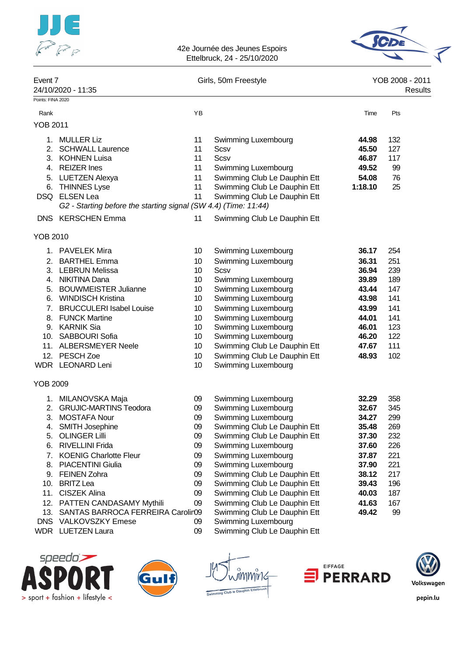



| Event 7           | 24/10/2020 - 11:35                                              |    | Girls, 50m Freestyle         |         | YOB 2008 - 2011<br>Results |
|-------------------|-----------------------------------------------------------------|----|------------------------------|---------|----------------------------|
| Points: FINA 2020 |                                                                 |    |                              |         |                            |
| Rank              |                                                                 | YB |                              | Time    | Pts                        |
| <b>YOB 2011</b>   |                                                                 |    |                              |         |                            |
| 1.                | MULLER Liz                                                      | 11 | Swimming Luxembourg          | 44.98   | 132                        |
| 2.                | <b>SCHWALL Laurence</b>                                         | 11 | Scsv                         | 45.50   | 127                        |
| 3.                | <b>KOHNEN Luisa</b>                                             | 11 | <b>Scsv</b>                  | 46.87   | 117                        |
| 4.                | <b>REIZER</b> Ines                                              | 11 | Swimming Luxembourg          | 49.52   | 99                         |
| 5.                | <b>LUETZEN Alexya</b>                                           | 11 | Swimming Club Le Dauphin Ett | 54.08   | 76                         |
| 6.                | <b>THINNES Lyse</b>                                             | 11 | Swimming Club Le Dauphin Ett | 1:18.10 | 25                         |
| DSQ.              | <b>ELSEN Lea</b>                                                | 11 | Swimming Club Le Dauphin Ett |         |                            |
|                   | G2 - Starting before the starting signal (SW 4.4) (Time: 11:44) |    |                              |         |                            |
|                   | DNS KERSCHEN Emma                                               | 11 | Swimming Club Le Dauphin Ett |         |                            |
| <b>YOB 2010</b>   |                                                                 |    |                              |         |                            |
|                   | 1. PAVELEK Mira                                                 | 10 | Swimming Luxembourg          | 36.17   | 254                        |
| 2.                | <b>BARTHEL Emma</b>                                             | 10 | Swimming Luxembourg          | 36.31   | 251                        |
|                   | 3. LEBRUN Melissa                                               | 10 | <b>Scsv</b>                  | 36.94   | 239                        |
|                   | 4. NIKITINA Dana                                                | 10 | Swimming Luxembourg          | 39.89   | 189                        |
| 5.                | <b>BOUWMEISTER Julianne</b>                                     | 10 | Swimming Luxembourg          | 43.44   | 147                        |
| 6.                | <b>WINDISCH Kristina</b>                                        | 10 | Swimming Luxembourg          | 43.98   | 141                        |
| 7.                | <b>BRUCCULERI Isabel Louise</b>                                 | 10 | Swimming Luxembourg          | 43.99   | 141                        |
| 8.                | <b>FUNCK Martine</b>                                            | 10 | Swimming Luxembourg          | 44.01   | 141                        |
|                   | 9. KARNIK Sia                                                   | 10 | Swimming Luxembourg          | 46.01   | 123                        |
|                   | 10. SABBOURI Sofia                                              | 10 | Swimming Luxembourg          | 46.20   | 122                        |
|                   | 11. ALBERSMEYER Neele                                           | 10 | Swimming Club Le Dauphin Ett | 47.67   | 111                        |
| 12.               | PESCH Zoe                                                       | 10 | Swimming Club Le Dauphin Ett | 48.93   | 102                        |
|                   | WDR LEONARD Leni                                                | 10 | Swimming Luxembourg          |         |                            |
| <b>YOB 2009</b>   |                                                                 |    |                              |         |                            |
|                   | 1. MILANOVSKA Maja                                              | 09 | Swimming Luxembourg          | 32.29   | 358                        |
|                   | 2. GRUJIC-MARTINS Teodora                                       | 09 | Swimming Luxembourg          | 32.67   | 345                        |
|                   | 3. MOSTAFA Nour                                                 | 09 | Swimming Luxembourg          | 34.27   | 299                        |
| 4.                | <b>SMITH Josephine</b>                                          | 09 | Swimming Club Le Dauphin Ett | 35.48   | 269                        |
| 5.                | <b>OLINGER Lilli</b>                                            | 09 | Swimming Club Le Dauphin Ett | 37.30   | 232                        |
| 6.                | <b>RIVELLINI Frida</b>                                          | 09 | Swimming Luxembourg          | 37.60   | 226                        |
| 7.                | <b>KOENIG Charlotte Fleur</b>                                   | 09 | Swimming Luxembourg          | 37.87   | 221                        |
| 8.                | <b>PIACENTINI Giulia</b>                                        | 09 | Swimming Luxembourg          | 37.90   | 221                        |
|                   | 9. FEINEN Zohra                                                 | 09 | Swimming Club Le Dauphin Ett | 38.12   | 217                        |
| 10.               | <b>BRITZ Lea</b>                                                | 09 | Swimming Club Le Dauphin Ett | 39.43   | 196                        |
| 11.               | <b>CISZEK Alina</b>                                             | 09 | Swimming Club Le Dauphin Ett | 40.03   | 187                        |
|                   | 12. PATTEN CANDASAMY Mythili                                    | 09 | Swimming Club Le Dauphin Ett | 41.63   | 167                        |
| 13.               | SANTAS BARROCA FERREIRA Carolir09                               |    | Swimming Club Le Dauphin Ett | 49.42   | 99                         |
| <b>DNS</b>        | <b>VALKOVSZKY Emese</b>                                         | 09 | Swimming Luxembourg          |         |                            |
|                   | <b>WDR</b> LUETZEN Laura                                        | 09 | Swimming Club Le Dauphin Ett |         |                            |
|                   |                                                                 |    |                              |         |                            |









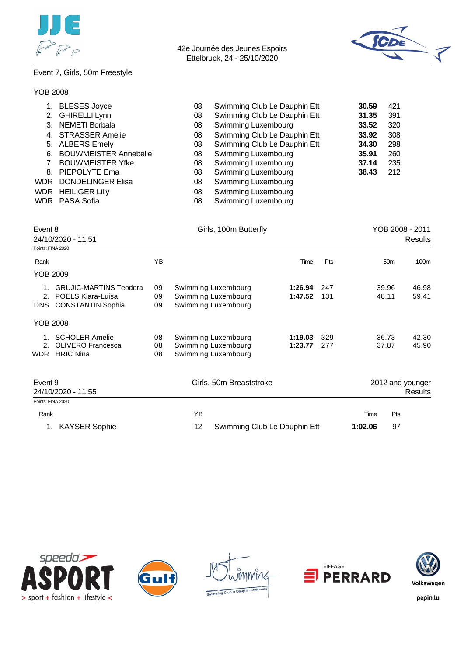



# Event 7, Girls, 50m Freestyle

| YOB 2008 |
|----------|
|          |
|          |

| 2.<br>3.<br>4.<br>5.<br>6.<br>7.<br>8.<br><b>WDR</b><br><b>WDR</b> | <b>BLESES Joyce</b><br><b>GHIRELLI Lynn</b><br><b>NEMETI Borbala</b><br><b>STRASSER Amelie</b><br><b>ALBERS Emely</b><br><b>BOUWMEISTER Annebelle</b><br><b>BOUWMEISTER Yfke</b><br>PIEPOLYTE Ema<br><b>DONDELINGER Elisa</b><br><b>HEILIGER Lilly</b><br><b>WDR</b> PASA Sofia | Swimming Club Le Dauphin Ett<br>08<br>08<br>Swimming Club Le Dauphin Ett<br>Swimming Luxembourg<br>08<br>Swimming Club Le Dauphin Ett<br>08<br>Swimming Club Le Dauphin Ett<br>08<br>Swimming Luxembourg<br>08<br>Swimming Luxembourg<br>80<br>Swimming Luxembourg<br>08<br>08<br>Swimming Luxembourg<br>Swimming Luxembourg<br>08<br>Swimming Luxembourg<br>08 |    |                                                                   |                    | 30.59<br>31.35<br>33.52<br>33.92<br>34.30<br>35.91<br>37.14<br>38.43 | 421<br>391<br>320<br>308<br>298<br>260<br>235<br>212 |                 |                             |
|--------------------------------------------------------------------|---------------------------------------------------------------------------------------------------------------------------------------------------------------------------------------------------------------------------------------------------------------------------------|-----------------------------------------------------------------------------------------------------------------------------------------------------------------------------------------------------------------------------------------------------------------------------------------------------------------------------------------------------------------|----|-------------------------------------------------------------------|--------------------|----------------------------------------------------------------------|------------------------------------------------------|-----------------|-----------------------------|
| Event 8                                                            | 24/10/2020 - 11:51                                                                                                                                                                                                                                                              |                                                                                                                                                                                                                                                                                                                                                                 |    | Girls, 100m Butterfly                                             |                    |                                                                      |                                                      |                 | YOB 2008 - 2011<br>Results  |
| Points: FINA 2020                                                  |                                                                                                                                                                                                                                                                                 |                                                                                                                                                                                                                                                                                                                                                                 |    |                                                                   |                    |                                                                      |                                                      |                 |                             |
| Rank                                                               |                                                                                                                                                                                                                                                                                 | YB                                                                                                                                                                                                                                                                                                                                                              |    |                                                                   | Time               | Pts                                                                  |                                                      | 50 <sub>m</sub> | 100 <sub>m</sub>            |
| <b>YOB 2009</b>                                                    |                                                                                                                                                                                                                                                                                 |                                                                                                                                                                                                                                                                                                                                                                 |    |                                                                   |                    |                                                                      |                                                      |                 |                             |
|                                                                    | 1. GRUJIC-MARTINS Teodora<br>2. POELS Klara-Luisa<br>DNS CONSTANTIN Sophia                                                                                                                                                                                                      | 09<br>09<br>09                                                                                                                                                                                                                                                                                                                                                  |    | Swimming Luxembourg<br>Swimming Luxembourg<br>Swimming Luxembourg | 1:26.94<br>1:47.52 | 247<br>131                                                           |                                                      | 39.96<br>48.11  | 46.98<br>59.41              |
| <b>YOB 2008</b>                                                    |                                                                                                                                                                                                                                                                                 |                                                                                                                                                                                                                                                                                                                                                                 |    |                                                                   |                    |                                                                      |                                                      |                 |                             |
|                                                                    | 1. SCHOLER Amelie<br>2. OLIVERO Francesca<br>WDR HRIC Nina                                                                                                                                                                                                                      | 08<br>08<br>08                                                                                                                                                                                                                                                                                                                                                  |    | Swimming Luxembourg<br>Swimming Luxembourg<br>Swimming Luxembourg | 1:19.03<br>1:23.77 | 329<br>277                                                           |                                                      | 36.73<br>37.87  | 42.30<br>45.90              |
| Event 9                                                            | 24/10/2020 - 11:55                                                                                                                                                                                                                                                              |                                                                                                                                                                                                                                                                                                                                                                 |    | Girls, 50m Breaststroke                                           |                    |                                                                      |                                                      |                 | 2012 and younger<br>Results |
| Points: FINA 2020                                                  |                                                                                                                                                                                                                                                                                 |                                                                                                                                                                                                                                                                                                                                                                 |    |                                                                   |                    |                                                                      |                                                      |                 |                             |
| Rank                                                               |                                                                                                                                                                                                                                                                                 |                                                                                                                                                                                                                                                                                                                                                                 | YB |                                                                   |                    |                                                                      | Time                                                 | Pts             |                             |
| 1.                                                                 | <b>KAYSER Sophie</b>                                                                                                                                                                                                                                                            |                                                                                                                                                                                                                                                                                                                                                                 | 12 | Swimming Club Le Dauphin Ett                                      |                    |                                                                      | 1:02.06                                              | 97              |                             |









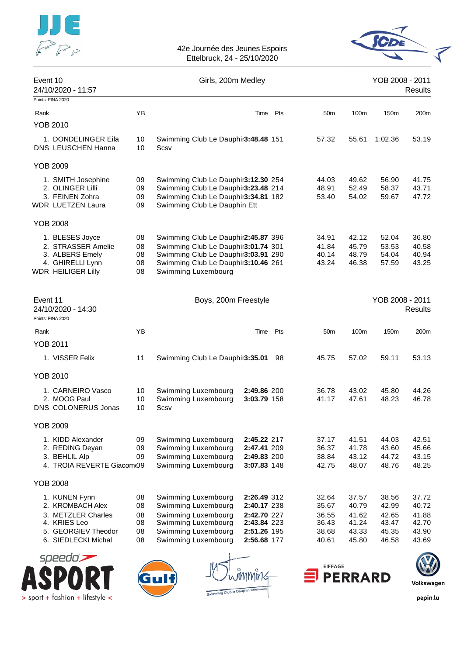



| Event 10<br>24/10/2020 - 11:57                                                                                        |                                  | Girls, 200m Medley                                                                                                                                                              |                                                                                        |     |                                                    |                                                    | YOB 2008 - 2011                                    | <b>Results</b>                                     |
|-----------------------------------------------------------------------------------------------------------------------|----------------------------------|---------------------------------------------------------------------------------------------------------------------------------------------------------------------------------|----------------------------------------------------------------------------------------|-----|----------------------------------------------------|----------------------------------------------------|----------------------------------------------------|----------------------------------------------------|
| Points: FINA 2020                                                                                                     |                                  |                                                                                                                                                                                 |                                                                                        |     |                                                    |                                                    |                                                    |                                                    |
| Rank<br><b>YOB 2010</b>                                                                                               | YB                               |                                                                                                                                                                                 | Time                                                                                   | Pts | 50 <sub>m</sub>                                    | 100m                                               | 150m                                               | 200m                                               |
| 1. DONDELINGER Eila<br>DNS LEUSCHEN Hanna                                                                             | 10<br>10                         | Swimming Club Le Dauphir3:48.48 151<br>Scsv                                                                                                                                     |                                                                                        |     | 57.32                                              | 55.61                                              | 1:02.36                                            | 53.19                                              |
| <b>YOB 2009</b>                                                                                                       |                                  |                                                                                                                                                                                 |                                                                                        |     |                                                    |                                                    |                                                    |                                                    |
| 1. SMITH Josephine<br>2. OLINGER Lilli<br>3. FEINEN Zohra<br><b>WDR LUETZEN Laura</b>                                 | 09<br>09<br>09<br>09             | Swimming Club Le Dauphir3:12.30 254<br>Swimming Club Le Dauphir3:23.48 214<br>Swimming Club Le Dauphir3:34.81 182<br>Swimming Club Le Dauphin Ett                               |                                                                                        |     | 44.03<br>48.91<br>53.40                            | 49.62<br>52.49<br>54.02                            | 56.90<br>58.37<br>59.67                            | 41.75<br>43.71<br>47.72                            |
| <b>YOB 2008</b>                                                                                                       |                                  |                                                                                                                                                                                 |                                                                                        |     |                                                    |                                                    |                                                    |                                                    |
| 1. BLESES Joyce<br>2. STRASSER Amelie<br>3. ALBERS Emely<br>4. GHIRELLI Lynn<br><b>WDR HEILIGER Lilly</b>             | 08<br>08<br>08<br>08<br>08       | Swimming Club Le Dauphir2:45.87 396<br>Swimming Club Le Dauphir3:01.74 301<br>Swimming Club Le Dauphir3:03.91 290<br>Swimming Club Le Dauphir3:10.46 261<br>Swimming Luxembourg |                                                                                        |     | 34.91<br>41.84<br>40.14<br>43.24                   | 42.12<br>45.79<br>48.79<br>46.38                   | 52.04<br>53.53<br>54.04<br>57.59                   | 36.80<br>40.58<br>40.94<br>43.25                   |
| Event 11<br>24/10/2020 - 14:30<br>Points: FINA 2020                                                                   |                                  | Boys, 200m Freestyle                                                                                                                                                            |                                                                                        |     |                                                    |                                                    | YOB 2008 - 2011                                    | <b>Results</b>                                     |
| Rank                                                                                                                  | ΥB                               |                                                                                                                                                                                 | Time                                                                                   | Pts | 50m                                                | 100m                                               | 150 <sub>m</sub>                                   | 200m                                               |
| <b>YOB 2011</b>                                                                                                       |                                  |                                                                                                                                                                                 |                                                                                        |     |                                                    |                                                    |                                                    |                                                    |
| 1. VISSER Felix                                                                                                       | 11                               | Swimming Club Le Dauphir3:35.01                                                                                                                                                 |                                                                                        | 98  | 45.75                                              | 57.02                                              | 59.11                                              | 53.13                                              |
| <b>YOB 2010</b>                                                                                                       |                                  |                                                                                                                                                                                 |                                                                                        |     |                                                    |                                                    |                                                    |                                                    |
| 1. CARNEIRO Vasco<br>2. MOOG Paul<br><b>DNS COLONERUS Jonas</b>                                                       | 10<br>10<br>10                   | Swimming Luxembourg<br>Swimming Luxembourg<br>Scsv                                                                                                                              | 2:49.86 200<br>3:03.79 158                                                             |     | 36.78<br>41.17                                     | 43.02<br>47.61                                     | 45.80<br>48.23                                     | 44.26<br>46.78                                     |
| <b>YOB 2009</b>                                                                                                       |                                  |                                                                                                                                                                                 |                                                                                        |     |                                                    |                                                    |                                                    |                                                    |
| 1. KIDD Alexander<br>2. REDING Deyan<br>3. BEHLIL Alp<br>4. TROIA REVERTE Giacom 09                                   | 09<br>09<br>09                   | Swimming Luxembourg<br>Swimming Luxembourg<br>Swimming Luxembourg<br>Swimming Luxembourg                                                                                        | 2:45.22 217<br>2:47.41 209<br>2:49.83 200<br>3:07.83 148                               |     | 37.17<br>36.37<br>38.84<br>42.75                   | 41.51<br>41.78<br>43.12<br>48.07                   | 44.03<br>43.60<br>44.72<br>48.76                   | 42.51<br>45.66<br>43.15<br>48.25                   |
| <b>YOB 2008</b>                                                                                                       |                                  |                                                                                                                                                                                 |                                                                                        |     |                                                    |                                                    |                                                    |                                                    |
| 1. KUNEN Fynn<br>2. KROMBACH Alex<br>3. METZLER Charles<br>4. KRIES Leo<br>5. GEORGIEV Theodor<br>6. SIEDLECKI Michal | 08<br>08<br>08<br>08<br>08<br>08 | Swimming Luxembourg<br>Swimming Luxembourg<br>Swimming Luxembourg<br>Swimming Luxembourg<br>Swimming Luxembourg<br>Swimming Luxembourg                                          | 2:26.49 312<br>2:40.17 238<br>2:42.70 227<br>2:43.84 223<br>2:51.26 195<br>2:56.68 177 |     | 32.64<br>35.67<br>36.55<br>36.43<br>38.68<br>40.61 | 37.57<br>40.79<br>41.62<br>41.24<br>43.33<br>45.80 | 38.56<br>42.99<br>42.65<br>43.47<br>45.35<br>46.58 | 37.72<br>40.72<br>41.88<br>42.70<br>43.90<br>43.69 |
| conodo <del>–</del>                                                                                                   |                                  |                                                                                                                                                                                 |                                                                                        |     |                                                    |                                                    |                                                    | æ                                                  |





ng Club le Dauphin Et



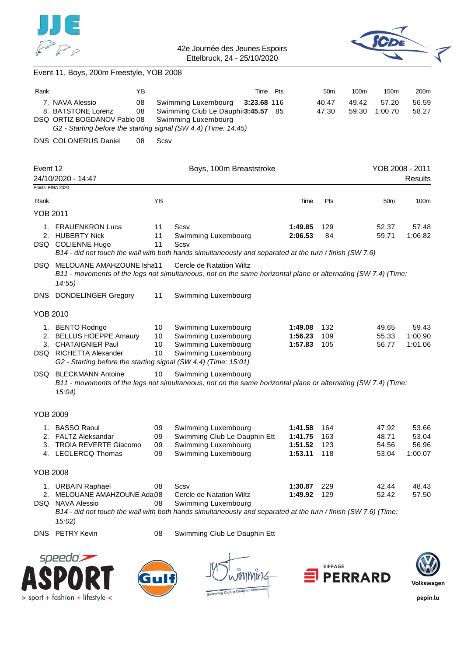



### Event 11, Boys, 200m Freestyle, YOB 2008

| Rank                          |                                                                                                                                                                         | ΥB                   | Time                                                                                                                                                                      | Pts                                      | 50 <sub>m</sub>          | 100m           | 150m                             | 200m                               |
|-------------------------------|-------------------------------------------------------------------------------------------------------------------------------------------------------------------------|----------------------|---------------------------------------------------------------------------------------------------------------------------------------------------------------------------|------------------------------------------|--------------------------|----------------|----------------------------------|------------------------------------|
|                               | 7. NAVA Alessio<br>8. BATSTONE Lorenz<br>DSQ ORTIZ BOGDANOV Pablo 08<br>G2 - Starting before the starting signal (SW 4.4) (Time: 14:45)                                 | 08<br>08             | Swimming Luxembourg<br>3:23.68 116<br>Swimming Club Le Dauphir3:45.57 85<br>Swimming Luxembourg                                                                           |                                          | 40.47<br>47.30           | 49.42<br>59.30 | 57.20<br>1:00.70                 | 56.59<br>58.27                     |
|                               | DNS COLONERUS Daniel                                                                                                                                                    | Scsv<br>08           |                                                                                                                                                                           |                                          |                          |                |                                  |                                    |
|                               |                                                                                                                                                                         |                      |                                                                                                                                                                           |                                          |                          |                |                                  |                                    |
| Event 12<br>Points: FINA 2020 | 24/10/2020 - 14:47                                                                                                                                                      |                      | Boys, 100m Breaststroke                                                                                                                                                   |                                          |                          |                | YOB 2008 - 2011                  | <b>Results</b>                     |
| Rank                          |                                                                                                                                                                         | ΥB                   |                                                                                                                                                                           | Time                                     | Pts                      |                | 50m                              | 100m                               |
| <b>YOB 2011</b>               |                                                                                                                                                                         |                      |                                                                                                                                                                           |                                          |                          |                |                                  |                                    |
| 1.                            | <b>FRAUENKRON Luca</b><br>2. HUBERTY Nick<br>DSQ COLIENNE Hugo                                                                                                          | 11<br>11<br>11       | Scsv<br>Swimming Luxembourg<br>Scsv<br>B14 - did not touch the wall with both hands simultaneously and separated at the turn / finish (SW 7.6)                            | 1:49.85<br>2:06.53                       | 129<br>84                |                | 52.37<br>59.71                   | 57.48<br>1:06.82                   |
|                               | DSQ MELOUANE AMAHZOUNE Isha11<br>14:55)                                                                                                                                 |                      | Cercle de Natation Wiltz<br>B11 - movements of the legs not simultaneous, not on the same horizontal plane or alternating (SW 7.4) (Time:                                 |                                          |                          |                |                                  |                                    |
| DNS.                          | <b>DONDELINGER Gregory</b>                                                                                                                                              | 11                   | Swimming Luxembourg                                                                                                                                                       |                                          |                          |                |                                  |                                    |
| <b>YOB 2010</b>               |                                                                                                                                                                         |                      |                                                                                                                                                                           |                                          |                          |                |                                  |                                    |
| 1.<br>2.                      | <b>BENTO Rodrigo</b><br><b>BELLUS HOEPPE Amaury</b><br>3. CHATAIGNIER Paul<br>DSQ RICHETTA Alexander<br>G2 - Starting before the starting signal (SW 4.4) (Time: 15:01) | 10<br>10<br>10<br>10 | Swimming Luxembourg<br>Swimming Luxembourg<br>Swimming Luxembourg<br>Swimming Luxembourg                                                                                  | 1:49.08<br>1:56.23<br>1:57.83            | 132<br>109<br>105        |                | 49.65<br>55.33<br>56.77          | 59.43<br>1:00.90<br>1:01.06        |
| DSQ                           | <b>BLECKMANN Antoine</b><br>15:04)                                                                                                                                      | 10                   | Swimming Luxembourg<br>B11 - movements of the legs not simultaneous, not on the same horizontal plane or alternating (SW 7.4) (Time:                                      |                                          |                          |                |                                  |                                    |
| <b>YOB 2009</b>               |                                                                                                                                                                         |                      |                                                                                                                                                                           |                                          |                          |                |                                  |                                    |
| 3.                            | 1. BASSO Raoul<br>2. FALTZ Aleksandar<br><b>TROIA REVERTE Giacomo</b><br>4. LECLERCQ Thomas                                                                             | 09<br>09<br>09<br>09 | Swimming Luxembourg<br>Swimming Club Le Dauphin Ett<br>Swimming Luxembourg<br>Swimming Luxembourg                                                                         | 1:41.58<br>1:41.75<br>1:51.52<br>1:53.11 | 164<br>163<br>123<br>118 |                | 47.92<br>48.71<br>54.56<br>53.04 | 53.66<br>53.04<br>56.96<br>1:00.07 |
| <b>YOB 2008</b>               |                                                                                                                                                                         |                      |                                                                                                                                                                           |                                          |                          |                |                                  |                                    |
|                               | 1. URBAIN Raphael<br>2. MELOUANE AMAHZOUNE Adai08<br>DSQ NAVA Alessio                                                                                                   | 08<br>08             | Scsv<br>Cercle de Natation Wiltz<br>Swimming Luxembourg<br>B14 - did not touch the wall with both hands simultaneously and separated at the turn / finish (SW 7.6) (Time: | 1:30.87<br>1:49.92                       | 229<br>129               |                | 42.44<br>52.42                   | 48.43<br>57.50                     |
|                               | 15:02)<br>DNS PETRY Kevin                                                                                                                                               | 08                   | Swimming Club Le Dauphin Ett                                                                                                                                              |                                          |                          |                |                                  |                                    |
|                               | speedo`                                                                                                                                                                 |                      |                                                                                                                                                                           |                                          | <b>EIFFAGE</b>           |                |                                  |                                    |









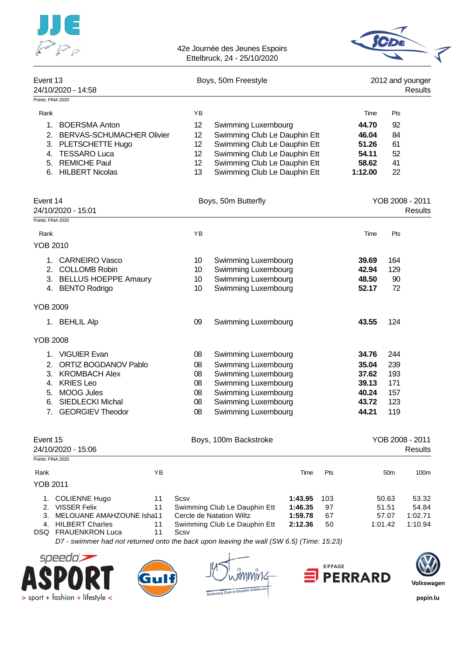|                           |                              |                 | 42e Journée des Jeunes Espoirs<br>Ettelbruck, 24 - 25/10/2020 |         |     |         |                 |                                    |
|---------------------------|------------------------------|-----------------|---------------------------------------------------------------|---------|-----|---------|-----------------|------------------------------------|
| Event 13                  | 24/10/2020 - 14:58           |                 | Boys, 50m Freestyle                                           |         |     |         |                 | 2012 and younger<br><b>Results</b> |
| Points: FINA 2020<br>Rank |                              | YB              |                                                               |         |     | Time    | Pts             |                                    |
| 1.                        | <b>BOERSMA Anton</b>         | 12              |                                                               |         |     | 44.70   | 92              |                                    |
|                           | 2. BERVAS-SCHUMACHER Olivier | 12              | Swimming Luxembourg<br>Swimming Club Le Dauphin Ett           |         |     | 46.04   | 84              |                                    |
|                           | 3. PLETSCHETTE Hugo          | 12 <sub>2</sub> | Swimming Club Le Dauphin Ett                                  |         |     | 51.26   | 61              |                                    |
|                           | 4. TESSARO Luca              | 12 <sup>2</sup> | Swimming Club Le Dauphin Ett                                  |         |     | 54.11   | 52              |                                    |
|                           | 5. REMICHE Paul              | 12 <sub>2</sub> | Swimming Club Le Dauphin Ett                                  |         |     | 58.62   | 41              |                                    |
|                           | 6. HILBERT Nicolas           | 13              | Swimming Club Le Dauphin Ett                                  |         |     | 1:12.00 | 22              |                                    |
| Event 14                  | 24/10/2020 - 15:01           |                 | Boys, 50m Butterfly                                           |         |     |         |                 | YOB 2008 - 2011<br>Results         |
| Points: FINA 2020         |                              | YB              |                                                               |         |     |         |                 |                                    |
| Rank<br>YOB 2010          |                              |                 |                                                               |         |     | Time    | Pts             |                                    |
|                           | 1. CARNEIRO Vasco            | 10              | Swimming Luxembourg                                           |         |     | 39.69   | 164             |                                    |
|                           | 2. COLLOMB Robin             | 10              | Swimming Luxembourg                                           |         |     | 42.94   | 129             |                                    |
|                           | 3. BELLUS HOEPPE Amaury      | 10              | Swimming Luxembourg                                           |         |     | 48.50   | 90              |                                    |
|                           | 4. BENTO Rodrigo             | 10              | Swimming Luxembourg                                           |         |     | 52.17   | 72              |                                    |
| <b>YOB 2009</b>           |                              |                 |                                                               |         |     |         |                 |                                    |
|                           | 1. BEHLIL Alp                | 09              | Swimming Luxembourg                                           |         |     | 43.55   | 124             |                                    |
| YOB 2008                  |                              |                 |                                                               |         |     |         |                 |                                    |
| 1.                        | <b>VIGUIER Evan</b>          | 08              | Swimming Luxembourg                                           |         |     | 34.76   | 244             |                                    |
| 2.                        | ORTIZ BOGDANOV Pablo         | 08              | Swimming Luxembourg                                           |         |     | 35.04   | 239             |                                    |
| 3.                        | <b>KROMBACH Alex</b>         | 08              | Swimming Luxembourg                                           |         |     | 37.62   | 193             |                                    |
| 4.                        | <b>KRIES Leo</b>             | 08              | Swimming Luxembourg                                           |         |     | 39.13   | 171             |                                    |
| 5.                        | <b>MOOG Jules</b>            | 08              | Swimming Luxembourg                                           |         |     | 40.24   | 157             |                                    |
| 6.                        | SIEDLECKI Michal             | 08              | Swimming Luxembourg                                           |         |     | 43.72   | 123             |                                    |
| 7.                        | <b>GEORGIEV Theodor</b>      | 08              | Swimming Luxembourg                                           |         |     | 44.21   | 119             |                                    |
| Event 15                  | 24/10/2020 - 15:06           |                 | Boys, 100m Backstroke                                         |         |     |         |                 | YOB 2008 - 2011<br><b>Results</b>  |
| Points: FINA 2020         |                              |                 |                                                               |         |     |         |                 |                                    |
| Rank                      | YB                           |                 |                                                               | Time    | Pts |         | 50 <sub>m</sub> | 100m                               |
| <b>YOB 2011</b>           |                              |                 |                                                               |         |     |         |                 |                                    |
|                           | 1. COLIENNE Hugo<br>11       | Scsv            |                                                               | 1:43.95 | 103 |         | 50.63           | 53.32                              |
|                           | 2. VISSER Felix<br>11        |                 | Swimming Club Le Dauphin Ett                                  | 1:46.35 | 97  |         | 51.51           | 54.84                              |
| 3.                        | MELOUANE AMAHZOUNE Isha11    |                 | Cercle de Natation Wiltz                                      | 1:59.78 | 67  |         | 57.07           | 1:02.71                            |
|                           | <b>HILBERT Charles</b>       |                 | Swimming Club Le Dauphin Ett                                  | 2:12.36 | 50  |         | 1:01.42         | 1:10.94                            |









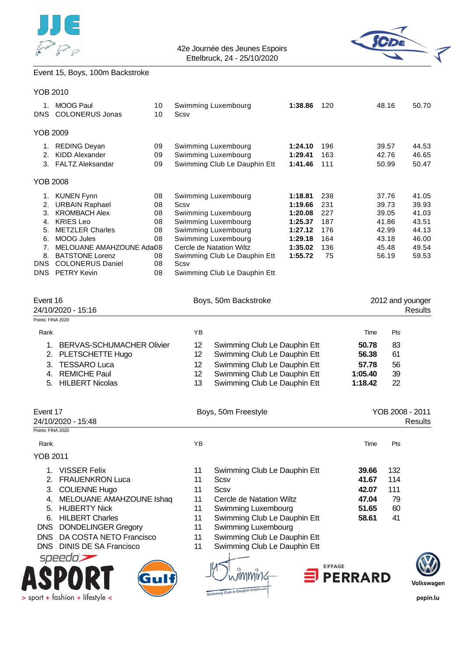



### Event 15, Boys, 100m Backstroke

DNS DONDELINGER Gregory

> sport + fashion + lifestyle <

| <b>YOB 2010</b>   |                                                     |          |      |                                                          |                    |           |         |                |                                    |
|-------------------|-----------------------------------------------------|----------|------|----------------------------------------------------------|--------------------|-----------|---------|----------------|------------------------------------|
|                   | 1. MOOG Paul<br>DNS COLONERUS Jonas                 | 10<br>10 | Scsv | Swimming Luxembourg                                      | 1:38.86            | 120       |         | 48.16          | 50.70                              |
| <b>YOB 2009</b>   |                                                     |          |      |                                                          |                    |           |         |                |                                    |
|                   | 1. REDING Deyan                                     | 09       |      | Swimming Luxembourg                                      | 1:24.10            | 196       |         | 39.57          | 44.53                              |
| 2.                | <b>KIDD Alexander</b>                               | 09       |      | Swimming Luxembourg                                      | 1:29.41            | 163       |         | 42.76          | 46.65                              |
|                   | 3. FALTZ Aleksandar                                 | 09       |      | Swimming Club Le Dauphin Ett                             | 1:41.46            | 111       |         | 50.99          | 50.47                              |
| <b>YOB 2008</b>   |                                                     |          |      |                                                          |                    |           |         |                |                                    |
| 1.                | <b>KUNEN Fynn</b>                                   | 08       |      | Swimming Luxembourg                                      | 1:18.81            | 238       |         | 37.76          | 41.05                              |
|                   | 2. URBAIN Raphael                                   | 08       | Scsv |                                                          | 1:19.66            | 231       |         | 39.73          | 39.93                              |
|                   | 3. KROMBACH Alex                                    | 08       |      | Swimming Luxembourg                                      | 1:20.08            | 227       |         | 39.05          | 41.03                              |
| 4.                | <b>KRIES Leo</b>                                    | 08       |      | Swimming Luxembourg                                      | 1:25.37            | 187       |         | 41.86          | 43.51                              |
|                   | 5. METZLER Charles                                  | 08       |      | Swimming Luxembourg                                      | 1:27.12            | 176       |         | 42.99          | 44.13                              |
|                   | 6. MOOG Jules                                       | 08       |      | Swimming Luxembourg                                      | 1:29.18            | 164       |         | 43.18          | 46.00                              |
| 7.<br>8.          | MELOUANE AMAHZOUNE Adai08<br><b>BATSTONE Lorenz</b> | 08       |      | Cercle de Natation Wiltz<br>Swimming Club Le Dauphin Ett | 1:35.02<br>1:55.72 | 136<br>75 |         | 45.48<br>56.19 | 49.54<br>59.53                     |
|                   | DNS COLONERUS Daniel                                | 08       | Scsv |                                                          |                    |           |         |                |                                    |
|                   | DNS PETRY Kevin                                     | 08       |      | Swimming Club Le Dauphin Ett                             |                    |           |         |                |                                    |
|                   |                                                     |          |      |                                                          |                    |           |         |                |                                    |
| Event 16          | 24/10/2020 - 15:16                                  |          |      | Boys, 50m Backstroke                                     |                    |           |         |                | 2012 and younger<br><b>Results</b> |
| Points: FINA 2020 |                                                     |          |      |                                                          |                    |           |         |                |                                    |
| Rank              |                                                     |          | YB   |                                                          |                    |           | Time    | Pts            |                                    |
| 1.                | <b>BERVAS-SCHUMACHER Olivier</b>                    |          | 12   | Swimming Club Le Dauphin Ett                             |                    |           | 50.78   | 83             |                                    |
| 2.                | PLETSCHETTE Hugo                                    |          | 12   | Swimming Club Le Dauphin Ett                             |                    |           | 56.38   | 61             |                                    |
| 3.                | <b>TESSARO Luca</b>                                 |          | 12   | Swimming Club Le Dauphin Ett                             |                    |           | 57.78   | 56             |                                    |
| 4.                | <b>REMICHE Paul</b>                                 |          | 12   | Swimming Club Le Dauphin Ett                             |                    |           | 1:05.40 | 39             |                                    |
| 5.                | <b>HILBERT Nicolas</b>                              |          | 13   | Swimming Club Le Dauphin Ett                             |                    |           | 1:18.42 | 22             |                                    |
|                   |                                                     |          |      |                                                          |                    |           |         |                |                                    |
| Event 17          | 24/10/2020 - 15:48                                  |          |      | Boys, 50m Freestyle                                      |                    |           |         |                | YOB 2008 - 2011<br><b>Results</b>  |
| Points: FINA 2020 |                                                     |          |      |                                                          |                    |           |         |                |                                    |
| Rank              |                                                     |          | ΥB   |                                                          |                    |           | Time    | Pts            |                                    |
| <b>YOB 2011</b>   |                                                     |          |      |                                                          |                    |           |         |                |                                    |
| 1.                | <b>VISSER Felix</b>                                 |          | 11   | Swimming Club Le Dauphin Ett                             |                    |           | 39.66   | 132            |                                    |
| 2.                | <b>FRAUENKRON Luca</b>                              |          | 11   | Scsv                                                     |                    |           | 41.67   | 114            |                                    |
| 3.                | <b>COLIENNE Hugo</b>                                |          | 11   | <b>Scsv</b>                                              |                    |           | 42.07   | 111            |                                    |
|                   | 4. MELOUANE AMAHZOUNE Ishaq                         |          | 11   | Cercle de Natation Wiltz                                 |                    |           | 47.04   | 79             |                                    |

5. HUBERTY Nick 11 Swimming Luxembourg **51.65** 60 6. HILBERT Charles 11 Swimming Club Le Dauphin Ett **58.61** 41

1Mir1<

DNS DA COSTA NETO Francisco 11 Swimming Club Le Dauphin Ett DNS DINIS DE SA Francisco 11 Swimming Club Le Dauphin Ett



**PERRARD**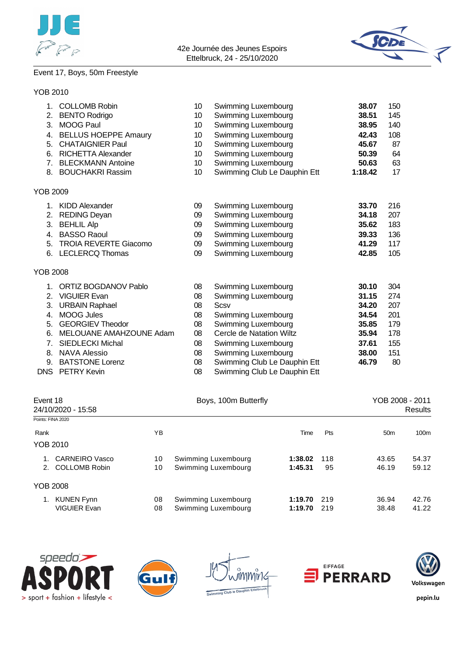



### Event 17, Boys, 50m Freestyle

### YOB 2010

| 1.             | <b>COLLOMB Robin</b>         | 10 | Swimming Luxembourg          | 38.07   | 150 |
|----------------|------------------------------|----|------------------------------|---------|-----|
| 2.             | <b>BENTO Rodrigo</b>         | 10 | Swimming Luxembourg          | 38.51   | 145 |
| 3.             | <b>MOOG Paul</b>             | 10 | Swimming Luxembourg          | 38.95   | 140 |
| 4.             | <b>BELLUS HOEPPE Amaury</b>  | 10 | Swimming Luxembourg          | 42.43   | 108 |
| 5.             | <b>CHATAIGNIER Paul</b>      | 10 | Swimming Luxembourg          | 45.67   | 87  |
| 6.             | <b>RICHETTA Alexander</b>    | 10 | <b>Swimming Luxembourg</b>   | 50.39   | 64  |
| 7 <sub>1</sub> | <b>BLECKMANN Antoine</b>     | 10 | Swimming Luxembourg          | 50.63   | 63  |
|                | 8. BOUCHAKRI Rassim          | 10 | Swimming Club Le Dauphin Ett | 1:18.42 | 17  |
| YOB 2009       |                              |    |                              |         |     |
|                | 1. KIDD Alexander            | 09 | Swimming Luxembourg          | 33.70   | 216 |
| 2.             | <b>REDING Deyan</b>          | 09 | Swimming Luxembourg          | 34.18   | 207 |
| 3.             | <b>BEHLIL Alp</b>            | 09 | Swimming Luxembourg          | 35.62   | 183 |
| 4.             | <b>BASSO Raoul</b>           | 09 | Swimming Luxembourg          | 39.33   | 136 |
| 5.             | <b>TROIA REVERTE Giacomo</b> | 09 | Swimming Luxembourg          | 41.29   | 117 |
|                | 6. LECLERCQ Thomas           | 09 | Swimming Luxembourg          | 42.85   | 105 |
| YOB 2008       |                              |    |                              |         |     |
| 1.             | <b>ORTIZ BOGDANOV Pablo</b>  | 08 | Swimming Luxembourg          | 30.10   | 304 |
| 2.             | <b>VIGUIER Evan</b>          | 08 | Swimming Luxembourg          | 31.15   | 274 |
| 3.             | <b>URBAIN Raphael</b>        | 08 | Scsv                         | 34.20   | 207 |
| 4.             | <b>MOOG Jules</b>            | 08 | Swimming Luxembourg          | 34.54   | 201 |
| 5.             | <b>GEORGIEV Theodor</b>      | 08 | Swimming Luxembourg          | 35.85   | 179 |
| 6.             | MELOUANE AMAHZOUNE Adam      | 08 | Cercle de Natation Wiltz     | 35.94   | 178 |
| 7.             | <b>SIEDLECKI Michal</b>      | 08 | Swimming Luxembourg          | 37.61   | 155 |
| 8.             | <b>NAVA Alessio</b>          | 08 | Swimming Luxembourg          | 38.00   | 151 |
| 9.             | <b>BATSTONE Lorenz</b>       | 08 | Swimming Club Le Dauphin Ett | 46.79   | 80  |
| <b>DNS</b>     | <b>PETRY Kevin</b>           | 08 | Swimming Club Le Dauphin Ett |         |     |

| Event 18<br>24/10/2020 - 15:58 |                       |    | Boys, 100m Butterfly | YOB 2008 - 2011<br>Results |     |                 |       |
|--------------------------------|-----------------------|----|----------------------|----------------------------|-----|-----------------|-------|
|                                | Points: FINA 2020     |    |                      |                            |     |                 |       |
| Rank                           |                       | ΥB |                      | Time                       | Pts | 50 <sub>m</sub> | 100m  |
|                                | YOB 2010              |    |                      |                            |     |                 |       |
|                                | <b>CARNEIRO Vasco</b> | 10 | Swimming Luxembourg  | 1:38.02                    | 118 | 43.65           | 54.37 |
|                                | 2. COLLOMB Robin      | 10 | Swimming Luxembourg  | 1:45.31                    | 95  | 46.19           | 59.12 |
|                                | YOB 2008              |    |                      |                            |     |                 |       |
|                                | KUNEN Fynn            | 08 | Swimming Luxembourg  | 1:19.70                    | 219 | 36.94           | 42.76 |
|                                | <b>VIGUIER Evan</b>   | 08 | Swimming Luxembourg  | 1:19.70                    | 219 | 38.48           | 41.22 |









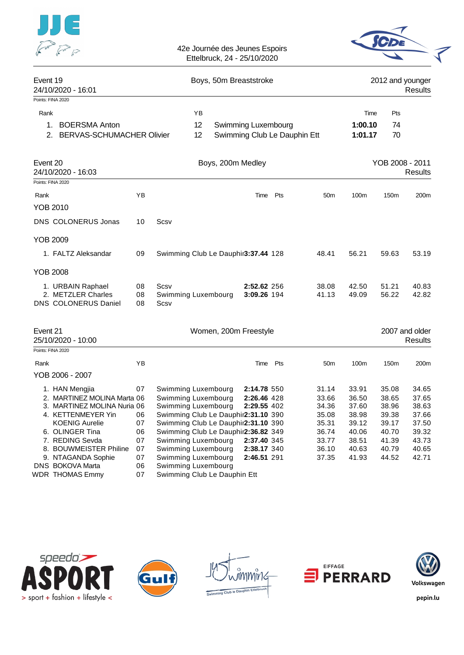| $JJJ$ $\in$                    | 42e Journée des Jeunes Espoirs<br>Ettelbruck, 24 - 25/10/2020 |                             |
|--------------------------------|---------------------------------------------------------------|-----------------------------|
| Event 19<br>24/10/2020 - 16:01 | Boys, 50m Breaststroke                                        | 2012 and younger<br>Results |
| Points: FINA 2020              |                                                               |                             |

- -

Rank **Rank Time Pts Proposed and Proposed Area** Time Pts and Proposed and Proposed and Proposed and Proposed and Proposed and Proposed and Proposed and Proposed and Proposed and Proposed and Proposed and Proposed and Pro 1. BOERSMA Anton **12 Swimming Luxembourg** 1:00.10 74<br>2. BERVAS-SCHUMACHER Olivier 12 Swimming Club Le Dauphin Ett 1:01.17 70 2. BERVAS-SCHUMACHER Olivier 12 Swimming Club Le Dauphin Ett 1:01.17 70

| Event 20<br>24/10/2020 - 16:03                                         |                |                                     | Boys, 200m Medley          |     |                 |                |                  | YOB 2008 - 2011<br>Results |  |  |
|------------------------------------------------------------------------|----------------|-------------------------------------|----------------------------|-----|-----------------|----------------|------------------|----------------------------|--|--|
| Points: FINA 2020                                                      |                |                                     |                            |     |                 |                |                  |                            |  |  |
| Rank                                                                   | ΥB             |                                     | Time                       | Pts | 50 <sub>m</sub> | 100m           | 150 <sub>m</sub> | 200 <sub>m</sub>           |  |  |
| YOB 2010                                                               |                |                                     |                            |     |                 |                |                  |                            |  |  |
| <b>DNS COLONERUS Jonas</b>                                             | 10             | Scsv                                |                            |     |                 |                |                  |                            |  |  |
| <b>YOB 2009</b>                                                        |                |                                     |                            |     |                 |                |                  |                            |  |  |
| 1. FALTZ Aleksandar                                                    | 09             | Swimming Club Le Dauphir3:37.44 128 |                            |     | 48.41           | 56.21          | 59.63            | 53.19                      |  |  |
| YOB 2008                                                               |                |                                     |                            |     |                 |                |                  |                            |  |  |
| 1. URBAIN Raphael<br>2. METZLER Charles<br><b>DNS COLONERUS Daniel</b> | 08<br>08<br>08 | Scsv<br>Swimming Luxembourg<br>Scsv | 2:52.62 256<br>3:09.26 194 |     | 38.08<br>41.13  | 42.50<br>49.09 | 51.21<br>56.22   | 40.83<br>42.82             |  |  |

| Event 21 | 25/10/2020 - 10:00          |    | Women, 200m Freestyle               |             |     |                 |       |                  | 2007 and older<br><b>Results</b> |
|----------|-----------------------------|----|-------------------------------------|-------------|-----|-----------------|-------|------------------|----------------------------------|
|          | Points: FINA 2020           |    |                                     |             |     |                 |       |                  |                                  |
| Rank     |                             | YΒ |                                     | Time        | Pts | 50 <sub>m</sub> | 100m  | 150 <sub>m</sub> | 200 <sub>m</sub>                 |
|          | YOB 2006 - 2007             |    |                                     |             |     |                 |       |                  |                                  |
|          | 1. HAN Mengjia              | 07 | Swimming Luxembourg                 | 2:14.78 550 |     | 31.14           | 33.91 | 35.08            | 34.65                            |
|          | 2. MARTINEZ MOLINA Marta 06 |    | Swimming Luxembourg                 | 2:26.46 428 |     | 33.66           | 36.50 | 38.65            | 37.65                            |
|          | 3. MARTINEZ MOLINA Nuria 06 |    | Swimming Luxembourg                 | 2:29.55 402 |     | 34.36           | 37.60 | 38.96            | 38.63                            |
|          | 4. KETTENMEYER Yin          | 06 | Swimming Club Le Dauphir2:31.10 390 |             |     | 35.08           | 38.98 | 39.38            | 37.66                            |
|          | <b>KOENIG Aurelie</b>       | 07 | Swimming Club Le Dauphir2:31.10 390 |             |     | 35.31           | 39.12 | 39.17            | 37.50                            |
|          | 6. OLINGER Tina             | 06 | Swimming Club Le Dauphir2:36.82 349 |             |     | 36.74           | 40.06 | 40.70            | 39.32                            |
|          | 7. REDING Sevda             | 07 | Swimming Luxembourg                 | 2:37.40 345 |     | 33.77           | 38.51 | 41.39            | 43.73                            |
|          | 8. BOUWMEISTER Philine      | 07 | Swimming Luxembourg                 | 2:38.17 340 |     | 36.10           | 40.63 | 40.79            | 40.65                            |
|          | 9. NTAGANDA Sophie          | 07 | Swimming Luxembourg                 | 2:46.51 291 |     | 37.35           | 41.93 | 44.52            | 42.71                            |
|          | <b>DNS BOKOVA Marta</b>     | 06 | Swimming Luxembourg                 |             |     |                 |       |                  |                                  |
|          | WDR THOMAS Emmy             | 07 | Swimming Club Le Dauphin Ett        |             |     |                 |       |                  |                                  |









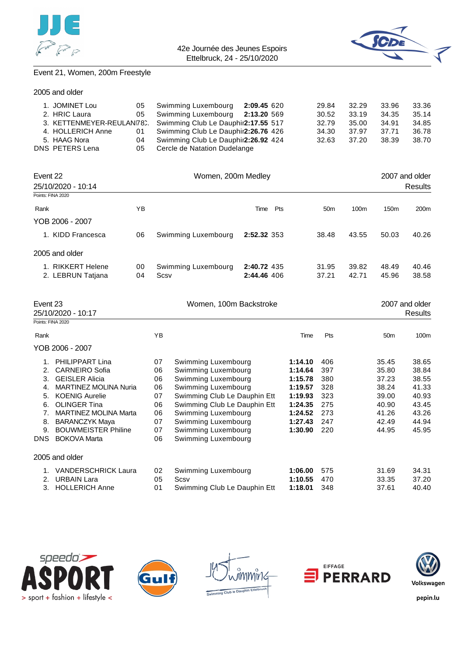



## Event 21, Women, 200m Freestyle

| 1. JOMINET Lou    |    | 05 Swimming Luxembourg 2:09.45 620                           |  | 29.84 | 32.29 | 33.96 | 33.36 |
|-------------------|----|--------------------------------------------------------------|--|-------|-------|-------|-------|
| 2. HRIC Laura     |    | 05 Swimming Luxembourg 2:13.20 569                           |  | 30.52 | 33.19 | 34.35 | 35.14 |
|                   |    | 3. KETTENMEYER-REULAN78. Swimming Club Le Dauphir2:17.55 517 |  | 32.79 | 35.00 | 34.91 | 34.85 |
| 4. HOLLERICH Anne | 01 | Swimming Club Le Dauphir2:26.76 426                          |  | 34.30 | 37.97 | 37.71 | 36.78 |
| 5. HAAG Nora      | 04 | Swimming Club Le Dauphir2:26.92 424                          |  | 32.63 | 37.20 | 38.39 | 38.70 |
| DNS PETERS Lena   | 05 | Cercle de Natation Dudelange                                 |  |       |       |       |       |
|                   |    |                                                              |  |       |       |       |       |

| Event 22<br>25/10/2020 - 10:14<br>Points: FINA 2020 |          | Women, 200m Medley          | 2007 and older<br>Results  |                 |                  |                  |                  |
|-----------------------------------------------------|----------|-----------------------------|----------------------------|-----------------|------------------|------------------|------------------|
|                                                     |          |                             |                            |                 |                  |                  |                  |
| Rank                                                | YB       |                             | Pts<br>Time                | 50 <sub>m</sub> | 100 <sub>m</sub> | 150 <sub>m</sub> | 200 <sub>m</sub> |
| YOB 2006 - 2007                                     |          |                             |                            |                 |                  |                  |                  |
| 1. KIDD Francesca                                   | 06       | Swimming Luxembourg         | 2:52.32 353                | 38.48           | 43.55            | 50.03            | 40.26            |
| 2005 and older                                      |          |                             |                            |                 |                  |                  |                  |
| 1. RIKKERT Helene<br>2. LEBRUN Tatjana              | 00<br>04 | Swimming Luxembourg<br>Scsv | 2:40.72 435<br>2:44.46 406 | 31.95<br>37.21  | 39.82<br>42.71   | 48.49<br>45.96   | 40.46<br>38.58   |

| Event 23<br>Points: FINA 2020 | 25/10/2020 - 10:17           |    | Women, 100m Backstroke       | 2007 and older<br>Results |     |                 |       |
|-------------------------------|------------------------------|----|------------------------------|---------------------------|-----|-----------------|-------|
| Rank                          |                              | YB |                              | Time                      | Pts | 50 <sub>m</sub> | 100m  |
|                               | YOB 2006 - 2007              |    |                              |                           |     |                 |       |
| 1.                            | PHILIPPART Lina              | 07 | Swimming Luxembourg          | 1:14.10                   | 406 | 35.45           | 38.65 |
| 2.                            | <b>CARNEIRO Sofia</b>        | 06 | Swimming Luxembourg          | 1:14.64                   | 397 | 35.80           | 38.84 |
| 3.                            | <b>GEISLER Alicia</b>        | 06 | Swimming Luxembourg          | 1:15.78                   | 380 | 37.23           | 38.55 |
| 4.                            | <b>MARTINEZ MOLINA Nuria</b> | 06 | Swimming Luxembourg          | 1:19.57                   | 328 | 38.24           | 41.33 |
| 5.                            | <b>KOENIG Aurelie</b>        | 07 | Swimming Club Le Dauphin Ett | 1:19.93                   | 323 | 39.00           | 40.93 |
| 6.                            | <b>OLINGER Tina</b>          | 06 | Swimming Club Le Dauphin Ett | 1:24.35                   | 275 | 40.90           | 43.45 |
| 7.                            | <b>MARTINEZ MOLINA Marta</b> | 06 | Swimming Luxembourg          | 1:24.52                   | 273 | 41.26           | 43.26 |
| 8.                            | <b>BARANCZYK Maya</b>        | 07 | Swimming Luxembourg          | 1:27.43                   | 247 | 42.49           | 44.94 |
| 9.                            | <b>BOUWMEISTER Philine</b>   | 07 | Swimming Luxembourg          | 1:30.90                   | 220 | 44.95           | 45.95 |
| <b>DNS</b>                    | <b>BOKOVA Marta</b>          | 06 | Swimming Luxembourg          |                           |     |                 |       |
|                               | 2005 and older               |    |                              |                           |     |                 |       |
| 1.                            | <b>VANDERSCHRICK Laura</b>   | 02 | Swimming Luxembourg          | 1:06.00                   | 575 | 31.69           | 34.31 |
| 2.                            | <b>URBAIN Lara</b>           | 05 | Scsv                         | 1:10.55                   | 470 | 33.35           | 37.20 |
| 3.                            | <b>HOLLERICH Anne</b>        | 01 | Swimming Club Le Dauphin Ett | 1:18.01                   | 348 | 37.61           | 40.40 |









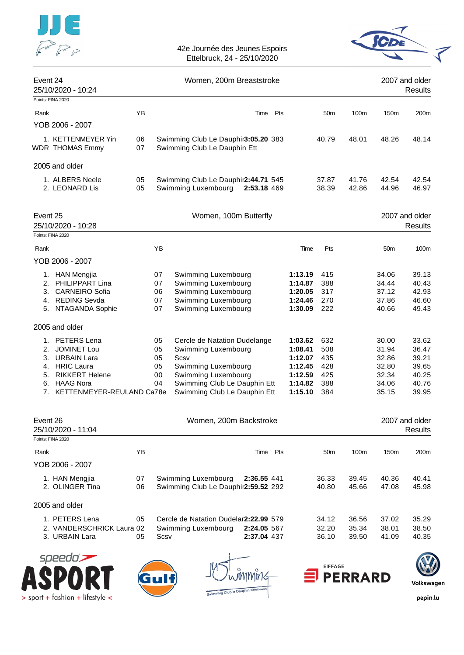



| Event 24             | 25/10/2020 - 10:24                                                                                                                                |          |                                  | 2007 and older<br>Results                                                                                                                                                 |                                                                           |                                               |                |                                                             |                                                             |
|----------------------|---------------------------------------------------------------------------------------------------------------------------------------------------|----------|----------------------------------|---------------------------------------------------------------------------------------------------------------------------------------------------------------------------|---------------------------------------------------------------------------|-----------------------------------------------|----------------|-------------------------------------------------------------|-------------------------------------------------------------|
|                      | Points: FINA 2020                                                                                                                                 |          |                                  |                                                                                                                                                                           |                                                                           |                                               |                |                                                             |                                                             |
| Rank                 |                                                                                                                                                   | ΥB       |                                  | Pts<br>Time                                                                                                                                                               |                                                                           | 50 <sub>m</sub>                               | 100m           | 150 <sub>m</sub>                                            | 200m                                                        |
|                      | YOB 2006 - 2007                                                                                                                                   |          |                                  |                                                                                                                                                                           |                                                                           |                                               |                |                                                             |                                                             |
|                      | 1. KETTENMEYER Yin<br><b>WDR THOMAS Emmy</b>                                                                                                      | 06<br>07 |                                  | Swimming Club Le Dauphir3:05.20 383<br>Swimming Club Le Dauphin Ett                                                                                                       |                                                                           | 40.79                                         | 48.01          | 48.26                                                       | 48.14                                                       |
|                      | 2005 and older                                                                                                                                    |          |                                  |                                                                                                                                                                           |                                                                           |                                               |                |                                                             |                                                             |
|                      |                                                                                                                                                   |          |                                  |                                                                                                                                                                           |                                                                           |                                               |                |                                                             |                                                             |
|                      | 1. ALBERS Neele<br>2. LEONARD Lis                                                                                                                 | 05<br>05 |                                  | Swimming Club Le Dauphir2:44.71 545<br>Swimming Luxembourg<br>2:53.18 469                                                                                                 |                                                                           | 37.87<br>38.39                                | 41.76<br>42.86 | 42.54<br>44.96                                              | 42.54<br>46.97                                              |
| Event 25             | 25/10/2020 - 10:28                                                                                                                                |          |                                  | Women, 100m Butterfly                                                                                                                                                     |                                                                           |                                               |                |                                                             | 2007 and older<br><b>Results</b>                            |
|                      | Points: FINA 2020                                                                                                                                 |          |                                  |                                                                                                                                                                           |                                                                           |                                               |                |                                                             |                                                             |
| Rank                 |                                                                                                                                                   |          | YB                               |                                                                                                                                                                           | Time                                                                      | Pts                                           |                | 50 <sub>m</sub>                                             | 100m                                                        |
|                      | YOB 2006 - 2007                                                                                                                                   |          |                                  |                                                                                                                                                                           |                                                                           |                                               |                |                                                             |                                                             |
| 2.<br>3.<br>5.       | 1. HAN Mengjia<br>PHILIPPART Lina<br><b>CARNEIRO</b> Sofia<br>4. REDING Sevda<br>NTAGANDA Sophie                                                  |          | 07<br>07<br>06<br>07<br>07       | Swimming Luxembourg<br>Swimming Luxembourg<br>Swimming Luxembourg<br>Swimming Luxembourg<br>Swimming Luxembourg                                                           | 1:13.19<br>1:14.87<br>1:20.05<br>1:24.46<br>1:30.09                       | 415<br>388<br>317<br>270<br>222               |                | 34.06<br>34.44<br>37.12<br>37.86<br>40.66                   | 39.13<br>40.43<br>42.93<br>46.60<br>49.43                   |
|                      | 2005 and older                                                                                                                                    |          |                                  |                                                                                                                                                                           |                                                                           |                                               |                |                                                             |                                                             |
| 1.<br>3.<br>5.<br>7. | <b>PETERS</b> Lena<br>2. JOMINET Lou<br><b>URBAIN Lara</b><br>4. HRIC Laura<br><b>RIKKERT Helene</b><br>6. HAAG Nora<br>KETTENMEYER-REULAND Ca78e |          | 05<br>05<br>05<br>05<br>00<br>04 | Cercle de Natation Dudelange<br>Swimming Luxembourg<br>Scsv<br>Swimming Luxembourg<br>Swimming Luxembourg<br>Swimming Club Le Dauphin Ett<br>Swimming Club Le Dauphin Ett | 1:03.62<br>1:08.41<br>1:12.07<br>1:12.45<br>1:12.59<br>1:14.82<br>1:15.10 | 632<br>508<br>435<br>428<br>425<br>388<br>384 |                | 30.00<br>31.94<br>32.86<br>32.80<br>32.34<br>34.06<br>35.15 | 33.62<br>36.47<br>39.21<br>39.65<br>40.25<br>40.76<br>39.95 |
| Event 26             | 25/10/2020 - 11:04                                                                                                                                |          |                                  | Women, 200m Backstroke                                                                                                                                                    |                                                                           |                                               |                |                                                             | 2007 and older<br><b>Results</b>                            |
|                      | Points: FINA 2020                                                                                                                                 |          |                                  |                                                                                                                                                                           |                                                                           |                                               |                |                                                             |                                                             |
| Rank                 |                                                                                                                                                   | ΥB       |                                  | Time Pts                                                                                                                                                                  |                                                                           | 50m                                           | 100m           | 150m                                                        | 200m                                                        |
|                      | YOB 2006 - 2007<br>1. HAN Mengjia<br>2. OLINGER Tina                                                                                              | 07<br>06 |                                  | Swimming Luxembourg<br>2:36.55 441<br>Swimming Club Le Dauphir2:59.52 292                                                                                                 |                                                                           | 36.33<br>40.80                                | 39.45<br>45.66 | 40.36<br>47.08                                              | 40.41<br>45.98                                              |
|                      | 2005 and older                                                                                                                                    |          |                                  |                                                                                                                                                                           |                                                                           |                                               |                |                                                             |                                                             |
|                      | 1. PETERS Lena                                                                                                                                    | 05       |                                  | Cercle de Natation Dudelar2:22.99 579                                                                                                                                     |                                                                           | 34.12                                         | 36.56          | 37.02                                                       | 35.29                                                       |



> sport + fashion + lifestyle <





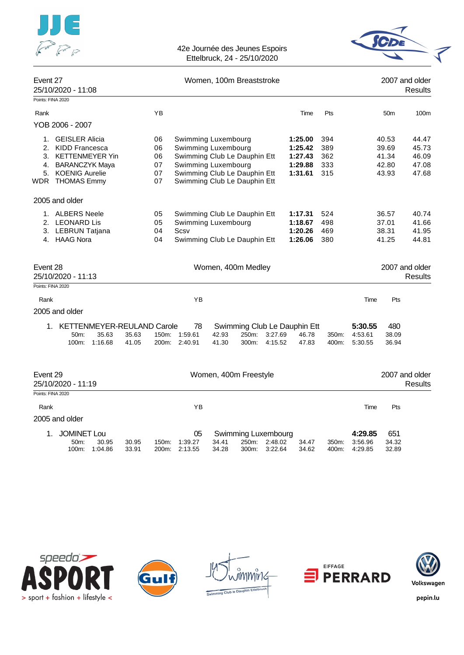



| Event 27          | 25/10/2020 - 11:08                                                                                      |                | Women, 100m Breaststroke   |                                                                                                                                   |                       |                                       |                    |                                                     | 2007 and older<br><b>Results</b> |                               |                                           |                                           |
|-------------------|---------------------------------------------------------------------------------------------------------|----------------|----------------------------|-----------------------------------------------------------------------------------------------------------------------------------|-----------------------|---------------------------------------|--------------------|-----------------------------------------------------|----------------------------------|-------------------------------|-------------------------------------------|-------------------------------------------|
| Points: FINA 2020 |                                                                                                         |                |                            |                                                                                                                                   |                       |                                       |                    |                                                     |                                  |                               |                                           |                                           |
| Rank              |                                                                                                         |                | YB                         |                                                                                                                                   |                       |                                       |                    | Time                                                | Pts                              |                               | 50 <sub>m</sub>                           | 100m                                      |
|                   | YOB 2006 - 2007                                                                                         |                |                            |                                                                                                                                   |                       |                                       |                    |                                                     |                                  |                               |                                           |                                           |
| 2.<br>4.          | 1. GEISLER Alicia<br>KIDD Francesca<br>3. KETTENMEYER Yin<br><b>BARANCZYK Maya</b><br>5. KOENIG Aurelie |                | 06<br>06<br>06<br>07<br>07 | Swimming Luxembourg<br>Swimming Luxembourg<br>Swimming Club Le Dauphin Ett<br>Swimming Luxembourg<br>Swimming Club Le Dauphin Ett |                       |                                       |                    | 1:25.00<br>1:25.42<br>1:27.43<br>1:29.88<br>1:31.61 | 394<br>389<br>362<br>333<br>315  |                               | 40.53<br>39.69<br>41.34<br>42.80<br>43.93 | 44.47<br>45.73<br>46.09<br>47.08<br>47.68 |
|                   | WDR THOMAS Emmy                                                                                         |                | 07                         | Swimming Club Le Dauphin Ett                                                                                                      |                       |                                       |                    |                                                     |                                  |                               |                                           |                                           |
|                   | 2005 and older                                                                                          |                |                            |                                                                                                                                   |                       |                                       |                    |                                                     |                                  |                               |                                           |                                           |
|                   | 1. ALBERS Neele<br>2. LEONARD Lis<br>3. LEBRUN Tatjana<br>4. HAAG Nora                                  |                | 05<br>05<br>04<br>04       | Swimming Club Le Dauphin Ett<br>Swimming Luxembourg<br>Scsv<br>Swimming Club Le Dauphin Ett                                       |                       |                                       |                    | 1:17.31<br>1:18.67<br>1:20.26<br>1:26.06            | 524<br>498<br>469<br>380         |                               | 36.57<br>37.01<br>38.31<br>41.25          | 40.74<br>41.66<br>41.95<br>44.81          |
| Event 28          | 25/10/2020 - 11:13                                                                                      |                |                            |                                                                                                                                   | Women, 400m Medley    |                                       |                    |                                                     |                                  |                               |                                           | 2007 and older<br><b>Results</b>          |
| Points: FINA 2020 |                                                                                                         |                |                            |                                                                                                                                   |                       |                                       |                    |                                                     |                                  |                               |                                           |                                           |
| Rank              |                                                                                                         |                |                            | ΥB                                                                                                                                |                       |                                       |                    |                                                     |                                  | Time                          | Pts                                       |                                           |
|                   | 2005 and older                                                                                          |                |                            |                                                                                                                                   |                       |                                       |                    |                                                     |                                  |                               |                                           |                                           |
|                   | 1. KETTENMEYER-REULAND Carole<br>50m:<br>35.63<br>100m:<br>1:16.68                                      | 35.63<br>41.05 | 150m:<br>200m:             | 78<br>1:59.61<br>2:40.91                                                                                                          | 42.93<br>41.30        | 250m:<br>300m:                        | 3:27.69<br>4:15.52 | Swimming Club Le Dauphin Ett<br>46.78<br>47.83      | 350m:<br>400m:                   | 5:30.55<br>4:53.61<br>5:30.55 | 480<br>38.09<br>36.94                     |                                           |
| Event 29          | 25/10/2020 - 11:19                                                                                      |                |                            |                                                                                                                                   | Women, 400m Freestyle |                                       |                    |                                                     |                                  |                               |                                           | 2007 and older<br>Results                 |
| Points: FINA 2020 |                                                                                                         |                |                            |                                                                                                                                   |                       |                                       |                    |                                                     |                                  |                               |                                           |                                           |
| Rank              |                                                                                                         |                |                            | ΥB                                                                                                                                |                       |                                       |                    |                                                     |                                  | Time                          | Pts                                       |                                           |
|                   | 2005 and older                                                                                          |                |                            |                                                                                                                                   |                       |                                       |                    |                                                     |                                  |                               |                                           |                                           |
| 1.                | <b>JOMINET Lou</b><br>30.95<br>50 <sub>m</sub> :<br>100m:<br>1:04.86                                    | 30.95<br>33.91 | 150m:<br>200m:             | 05<br>1:39.27<br>2:13.55                                                                                                          | 34.41<br>34.28        | Swimming Luxembourg<br>250m:<br>300m: | 2:48.02<br>3:22.64 | 34.47<br>34.62                                      | 350m.<br>400m:                   | 4:29.85<br>3:56.96<br>4:29.85 | 651<br>34.32<br>32.89                     |                                           |









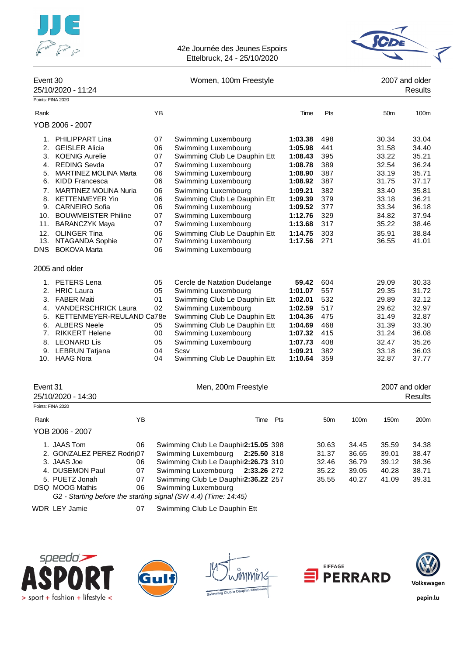



| Event 30                     | 25/10/2020 - 11:24                                                                                                                                                                                                                                                                             | Women, 100m Freestyle                                                |                                                                                                                                                                                                                                                                                                             |                                                                                                                                  |                                                                                  | 2007 and older<br>Results |                                                                                                          |                                                                                                          |  |
|------------------------------|------------------------------------------------------------------------------------------------------------------------------------------------------------------------------------------------------------------------------------------------------------------------------------------------|----------------------------------------------------------------------|-------------------------------------------------------------------------------------------------------------------------------------------------------------------------------------------------------------------------------------------------------------------------------------------------------------|----------------------------------------------------------------------------------------------------------------------------------|----------------------------------------------------------------------------------|---------------------------|----------------------------------------------------------------------------------------------------------|----------------------------------------------------------------------------------------------------------|--|
|                              | Points: FINA 2020                                                                                                                                                                                                                                                                              |                                                                      |                                                                                                                                                                                                                                                                                                             |                                                                                                                                  |                                                                                  |                           |                                                                                                          |                                                                                                          |  |
| Rank                         |                                                                                                                                                                                                                                                                                                | YB                                                                   |                                                                                                                                                                                                                                                                                                             | Time                                                                                                                             | Pts                                                                              |                           | 50 <sub>m</sub>                                                                                          | 100m                                                                                                     |  |
|                              | YOB 2006 - 2007                                                                                                                                                                                                                                                                                |                                                                      |                                                                                                                                                                                                                                                                                                             |                                                                                                                                  |                                                                                  |                           |                                                                                                          |                                                                                                          |  |
| 2.<br>5.<br>7.<br>11.<br>12. | 1. PHILIPPART Lina<br><b>GEISLER Alicia</b><br>3. KOENIG Aurelie<br>4. REDING Sevda<br><b>MARTINEZ MOLINA Marta</b><br>6. KIDD Francesca<br><b>MARTINEZ MOLINA Nuria</b><br>8. KETTENMEYER Yin<br>9. CARNEIRO Sofia<br>10. BOUWMEISTER Philine<br><b>BARANCZYK Maya</b><br><b>OLINGER Tina</b> | 07<br>06<br>07<br>07<br>06<br>06<br>06<br>06<br>06<br>07<br>07<br>06 | Swimming Luxembourg<br>Swimming Luxembourg<br>Swimming Club Le Dauphin Ett<br>Swimming Luxembourg<br>Swimming Luxembourg<br>Swimming Luxembourg<br>Swimming Luxembourg<br>Swimming Club Le Dauphin Ett<br>Swimming Luxembourg<br>Swimming Luxembourg<br>Swimming Luxembourg<br>Swimming Club Le Dauphin Ett | 1:03.38<br>1:05.98<br>1:08.43<br>1:08.78<br>1:08.90<br>1:08.92<br>1:09.21<br>1:09.39<br>1:09.52<br>1:12.76<br>1:13.68<br>1:14.75 | 498<br>441<br>395<br>389<br>387<br>387<br>382<br>379<br>377<br>329<br>317<br>303 |                           | 30.34<br>31.58<br>33.22<br>32.54<br>33.19<br>31.75<br>33.40<br>33.18<br>33.34<br>34.82<br>35.22<br>35.91 | 33.04<br>34.40<br>35.21<br>36.24<br>35.71<br>37.17<br>35.81<br>36.21<br>36.18<br>37.94<br>38.46<br>38.84 |  |
| 13.<br>DNS                   | NTAGANDA Sophie<br><b>BOKOVA Marta</b><br>2005 and older                                                                                                                                                                                                                                       | 07<br>06                                                             | Swimming Luxembourg<br>Swimming Luxembourg                                                                                                                                                                                                                                                                  | 1:17.56                                                                                                                          | 271                                                                              |                           | 36.55                                                                                                    | 41.01                                                                                                    |  |
| 8.                           | 1. PETERS Lena<br>2. HRIC Laura<br>3. FABER Maiti<br>4. VANDERSCHRICK Laura<br>5. KETTENMEYER-REULAND Ca78e<br>6. ALBERS Neele<br>7. RIKKERT Helene<br><b>LEONARD Lis</b><br>9. LEBRUN Tatjana<br>10. HAAG Nora                                                                                | 05<br>05<br>01<br>02<br>05<br>00<br>05<br>04<br>04                   | Cercle de Natation Dudelange<br>Swimming Luxembourg<br>Swimming Club Le Dauphin Ett<br>Swimming Luxembourg<br>Swimming Club Le Dauphin Ett<br>Swimming Club Le Dauphin Ett<br>Swimming Luxembourg<br>Swimming Luxembourg<br>Scsv<br>Swimming Club Le Dauphin Ett                                            | 59.42<br>1:01.07<br>1:02.01<br>1:02.59<br>1:04.36<br>1:04.69<br>1:07.32<br>1:07.73<br>1:09.21<br>1:10.64                         | 604<br>557<br>532<br>517<br>475<br>468<br>415<br>408<br>382<br>359               |                           | 29.09<br>29.35<br>29.89<br>29.62<br>31.49<br>31.39<br>31.24<br>32.47<br>33.18<br>32.87                   | 30.33<br>31.72<br>32.12<br>32.97<br>32.87<br>33.30<br>36.08<br>35.26<br>36.03<br>37.77                   |  |
| Event 31                     | 25/10/2020 - 14:30<br>Points: FINA 2020                                                                                                                                                                                                                                                        |                                                                      | Men, 200m Freestyle                                                                                                                                                                                                                                                                                         |                                                                                                                                  |                                                                                  |                           |                                                                                                          | 2007 and older<br>Results                                                                                |  |
| Rank                         | ΥB<br>YOB 2006 - 2007                                                                                                                                                                                                                                                                          |                                                                      | Pts<br>Time                                                                                                                                                                                                                                                                                                 |                                                                                                                                  | 50 <sub>m</sub>                                                                  | 100m                      | 150m                                                                                                     | 200m                                                                                                     |  |
|                              | 1. JAAS Tom<br>06<br>2. GONZALEZ PEREZ Rodri(07                                                                                                                                                                                                                                                |                                                                      | Swimming Club Le Dauphir2:15.05 398<br>Swimming Luxembourg<br>2:25.50 318                                                                                                                                                                                                                                   |                                                                                                                                  | 30.63<br>31.37                                                                   | 34.45<br>36.65            | 35.59<br>39.01                                                                                           | 34.38<br>38.47                                                                                           |  |

3. JAAS Joe 06 Swimming Club Le Dauphin Ett **2:26.73** 310 32.46 36.79 39.12 38.36 4. DUSEMON Paul 07 Swimming Luxembourg 2:33.26 272 35.22 39.05 40.28 5. PUETZ Jonah **07** Swimming Club Le Dauphir 2:36.22 257 35.55 40.27 41.09 39.31 DSQ MOOG Mathis 06 Swimming Luxembourg *G2 - Starting before the starting signal (SW 4.4) (Time: 14:45)*

WDR LEY Jamie 07 Swimming Club Le Dauphin Ett









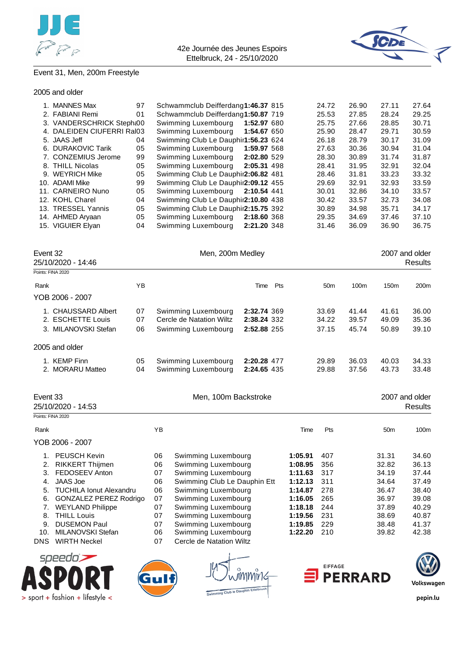



# Event 31, Men, 200m Freestyle

|  |  |  | 2005 and older |
|--|--|--|----------------|
|--|--|--|----------------|

|                                                                         | 1. MANNES Max<br>2. FABIANI Remi<br>3. VANDERSCHRICK Stepht00<br>4. DALEIDEN CIUFERRI Ral03<br>5. JAAS Jeff<br>6. DURAKOVIC Tarik<br>7. CONZEMIUS Jerome<br>8. THILL Nicolas<br>9. WEYRICH Mike<br>10. ADAMI Mike<br>11. CARNEIRO Nuno<br>12. KOHL Charel<br>13. TRESSEL Yannis<br>14. AHMED Aryaan<br>15. VIGUIER Elyan | 97<br>01<br>04<br>05<br>99<br>05<br>05<br>99<br>05<br>04<br>05<br>05<br>04 | Schwammclub Deifferdang1:46.37 815<br>Schwammclub Deifferdang1:50.87 719<br>Swimming Luxembourg<br>Swimming Luxembourg<br>Swimming Club Le Dauphir1:56.23 624<br>Swimming Luxembourg<br>Swimming Luxembourg<br>Swimming Luxembourg<br>Swimming Club Le Dauphir2:06.82 481<br>Swimming Club Le Dauphir2:09.12 455<br>Swimming Luxembourg<br>Swimming Club Le Dauphir2:10.80 438<br>Swimming Club Le Dauphir2:15.75 392<br>Swimming Luxembourg<br>Swimming Luxembourg | 1:52.97 680<br>1:54.67 650<br>1:59.97 568<br>2:02.80 529<br>2:05.31 498<br>2:10.54 441<br>2:18.60 368<br>2:21.20 348 |                                                                                                            | 24.72<br>25.53<br>25.75<br>25.90<br>26.18<br>27.63<br>28.30<br>28.41<br>28.46<br>29.69<br>30.01<br>30.42<br>30.89<br>29.35<br>31.46 | 26.90<br>27.85<br>27.66<br>28.47<br>28.79<br>30.36<br>30.89<br>31.95<br>31.81<br>32.91<br>32.86<br>33.57<br>34.98<br>34.69<br>36.09 | 27.11<br>28.24<br>28.85<br>29.71<br>30.17<br>30.94<br>31.74<br>32.91<br>33.23<br>32.93<br>34.10<br>32.73<br>35.71<br>37.46<br>36.90 | 27.64<br>29.25<br>30.71<br>30.59<br>31.09<br>31.04<br>31.87<br>32.04<br>33.32<br>33.59<br>33.57<br>34.08<br>34.17<br>37.10<br>36.75 |
|-------------------------------------------------------------------------|--------------------------------------------------------------------------------------------------------------------------------------------------------------------------------------------------------------------------------------------------------------------------------------------------------------------------|----------------------------------------------------------------------------|---------------------------------------------------------------------------------------------------------------------------------------------------------------------------------------------------------------------------------------------------------------------------------------------------------------------------------------------------------------------------------------------------------------------------------------------------------------------|----------------------------------------------------------------------------------------------------------------------|------------------------------------------------------------------------------------------------------------|-------------------------------------------------------------------------------------------------------------------------------------|-------------------------------------------------------------------------------------------------------------------------------------|-------------------------------------------------------------------------------------------------------------------------------------|-------------------------------------------------------------------------------------------------------------------------------------|
| Event 32                                                                | 25/10/2020 - 14:46                                                                                                                                                                                                                                                                                                       |                                                                            |                                                                                                                                                                                                                                                                                                                                                                                                                                                                     | Men, 200m Medley                                                                                                     |                                                                                                            |                                                                                                                                     |                                                                                                                                     |                                                                                                                                     | 2007 and older<br><b>Results</b>                                                                                                    |
| Points: FINA 2020                                                       |                                                                                                                                                                                                                                                                                                                          |                                                                            |                                                                                                                                                                                                                                                                                                                                                                                                                                                                     |                                                                                                                      |                                                                                                            |                                                                                                                                     |                                                                                                                                     |                                                                                                                                     |                                                                                                                                     |
| Rank                                                                    |                                                                                                                                                                                                                                                                                                                          | YB                                                                         |                                                                                                                                                                                                                                                                                                                                                                                                                                                                     | Time Pts                                                                                                             |                                                                                                            | 50 <sub>m</sub>                                                                                                                     | 100m                                                                                                                                | 150m                                                                                                                                | 200m                                                                                                                                |
|                                                                         | YOB 2006 - 2007                                                                                                                                                                                                                                                                                                          |                                                                            |                                                                                                                                                                                                                                                                                                                                                                                                                                                                     |                                                                                                                      |                                                                                                            |                                                                                                                                     |                                                                                                                                     |                                                                                                                                     |                                                                                                                                     |
|                                                                         | 1. CHAUSSARD Albert<br>2. ESCHETTE Louis<br>3. MILANOVSKI Stefan                                                                                                                                                                                                                                                         | 07<br>07<br>06                                                             | Swimming Luxembourg<br>Cercle de Natation Wiltz<br>Swimming Luxembourg                                                                                                                                                                                                                                                                                                                                                                                              | 2:32.74 369<br>2:38.24 332<br>2:52.88 255                                                                            |                                                                                                            | 33.69<br>34.22<br>37.15                                                                                                             | 41.44<br>39.57<br>45.74                                                                                                             | 41.61<br>49.09<br>50.89                                                                                                             | 36.00<br>35.36<br>39.10                                                                                                             |
|                                                                         | 2005 and older                                                                                                                                                                                                                                                                                                           |                                                                            |                                                                                                                                                                                                                                                                                                                                                                                                                                                                     |                                                                                                                      |                                                                                                            |                                                                                                                                     |                                                                                                                                     |                                                                                                                                     |                                                                                                                                     |
|                                                                         |                                                                                                                                                                                                                                                                                                                          |                                                                            |                                                                                                                                                                                                                                                                                                                                                                                                                                                                     |                                                                                                                      |                                                                                                            |                                                                                                                                     |                                                                                                                                     |                                                                                                                                     |                                                                                                                                     |
|                                                                         | 1. KEMP Finn<br>2. MORARU Matteo                                                                                                                                                                                                                                                                                         | 05<br>04                                                                   | Swimming Luxembourg<br>Swimming Luxembourg                                                                                                                                                                                                                                                                                                                                                                                                                          | 2:20.28 477<br>2:24.65 435                                                                                           |                                                                                                            | 29.89<br>29.88                                                                                                                      | 36.03<br>37.56                                                                                                                      | 40.03<br>43.73                                                                                                                      | 34.33<br>33.48                                                                                                                      |
| Event 33<br>Points: FINA 2020                                           | 25/10/2020 - 14:53                                                                                                                                                                                                                                                                                                       |                                                                            |                                                                                                                                                                                                                                                                                                                                                                                                                                                                     | Men, 100m Backstroke                                                                                                 |                                                                                                            |                                                                                                                                     |                                                                                                                                     |                                                                                                                                     | 2007 and older<br><b>Results</b>                                                                                                    |
| Rank                                                                    |                                                                                                                                                                                                                                                                                                                          |                                                                            | YB                                                                                                                                                                                                                                                                                                                                                                                                                                                                  |                                                                                                                      | Time                                                                                                       | Pts                                                                                                                                 |                                                                                                                                     | 50m                                                                                                                                 | 100m                                                                                                                                |
|                                                                         | YOB 2006 - 2007                                                                                                                                                                                                                                                                                                          |                                                                            |                                                                                                                                                                                                                                                                                                                                                                                                                                                                     |                                                                                                                      |                                                                                                            |                                                                                                                                     |                                                                                                                                     |                                                                                                                                     |                                                                                                                                     |
| 1.<br>2.<br>3.<br>4.<br>5.<br>6.<br>7.<br>8.<br>9.<br>10.<br><b>DNS</b> | <b>PEUSCH Kevin</b><br>RIKKERT Thijmen<br>FEDOSEEV Anton<br><b>JAAS Joe</b><br><b>TUCHILA Ionut Alexandru</b><br><b>GONZALEZ PEREZ Rodrigo</b><br><b>WEYLAND Philippe</b><br><b>THILL Louis</b><br><b>DUSEMON Paul</b><br>MILANOVSKI Stefan<br><b>WIRTH Neckel</b>                                                       |                                                                            | Swimming Luxembourg<br>06<br>Swimming Luxembourg<br>06<br>Swimming Luxembourg<br>07<br>Swimming Club Le Dauphin Ett<br>06<br>Swimming Luxembourg<br>06<br>07<br>Swimming Luxembourg<br>Swimming Luxembourg<br>07<br>07<br>Swimming Luxembourg<br>07<br>Swimming Luxembourg<br>06<br>Swimming Luxembourg<br>Cercle de Natation Wiltz<br>07                                                                                                                           |                                                                                                                      | 1:05.91<br>1:08.95<br>1:11.63<br>1:12.13<br>1:14.87<br>1:16.05<br>1:18.18<br>1:19.56<br>1:19.85<br>1:22.20 | 407<br>356<br>317<br>311<br>278<br>265<br>244<br>231<br>229<br>210                                                                  |                                                                                                                                     | 31.31<br>32.82<br>34.19<br>34.64<br>36.47<br>36.97<br>37.89<br>38.69<br>38.48<br>39.82                                              | 34.60<br>36.13<br>37.44<br>37.49<br>38.40<br>39.08<br>40.29<br>40.87<br>41.37<br>42.38                                              |





mĭnG ub le Daupl



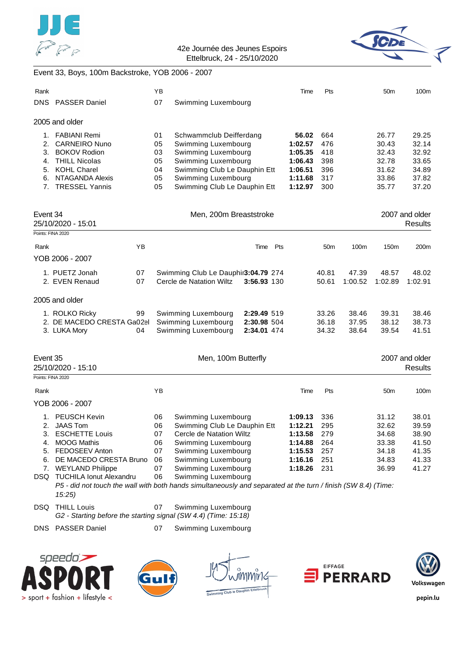



### Event 33, Boys, 100m Backstroke, YOB 2006 - 2007

| Rank     |                                                                                                               |    | YB       |                                                     |             | Time               | Pts             |         | 50 <sub>m</sub> | 100m                      |
|----------|---------------------------------------------------------------------------------------------------------------|----|----------|-----------------------------------------------------|-------------|--------------------|-----------------|---------|-----------------|---------------------------|
|          | DNS PASSER Daniel                                                                                             |    | 07       | Swimming Luxembourg                                 |             |                    |                 |         |                 |                           |
|          | 2005 and older                                                                                                |    |          |                                                     |             |                    |                 |         |                 |                           |
|          | 1. FABIANI Remi                                                                                               |    | 01       | Schwammclub Deifferdang                             |             | 56.02              | 664             |         | 26.77           | 29.25                     |
| 2.       | <b>CARNEIRO Nuno</b>                                                                                          |    | 05       | Swimming Luxembourg                                 |             | 1:02.57            | 476             |         | 30.43           | 32.14                     |
| 3.       | <b>BOKOV Rodion</b>                                                                                           |    | 03       | Swimming Luxembourg                                 |             | 1:05.35            | 418             |         | 32.43           | 32.92                     |
| 5.       | 4. THILL Nicolas<br><b>KOHL Charel</b>                                                                        |    | 05<br>04 | Swimming Luxembourg<br>Swimming Club Le Dauphin Ett |             | 1:06.43<br>1:06.51 | 398<br>396      |         | 32.78<br>31.62  | 33.65<br>34.89            |
| 6.       | <b>NTAGANDA Alexis</b>                                                                                        |    | 05       | Swimming Luxembourg                                 |             | 1:11.68            | 317             |         | 33.86           | 37.82                     |
|          | 7. TRESSEL Yannis                                                                                             |    | 05       | Swimming Club Le Dauphin Ett                        |             | 1:12.97            | 300             |         | 35.77           | 37.20                     |
| Event 34 |                                                                                                               |    |          | Men, 200m Breaststroke                              |             |                    |                 |         |                 | 2007 and older            |
|          | 25/10/2020 - 15:01                                                                                            |    |          |                                                     |             |                    |                 |         |                 | <b>Results</b>            |
|          | Points: FINA 2020                                                                                             |    |          |                                                     |             |                    |                 |         |                 |                           |
| Rank     |                                                                                                               | YB |          |                                                     | Time Pts    |                    | 50 <sub>m</sub> | 100m    | 150m            | 200m                      |
|          | YOB 2006 - 2007                                                                                               |    |          |                                                     |             |                    |                 |         |                 |                           |
|          | 1. PUETZ Jonah                                                                                                | 07 |          | Swimming Club Le Dauphir3:04.79 274                 |             |                    | 40.81           | 47.39   | 48.57           | 48.02                     |
|          | 2. EVEN Renaud                                                                                                | 07 |          | Cercle de Natation Wiltz                            | 3:56.93 130 |                    | 50.61           | 1:00.52 | 1:02.89         | 1:02.91                   |
|          | 2005 and older                                                                                                |    |          |                                                     |             |                    |                 |         |                 |                           |
|          | 1. ROLKO Ricky                                                                                                | 99 |          | Swimming Luxembourg                                 | 2:29.49 519 |                    | 33.26           | 38.46   | 39.31           | 38.46                     |
|          | 2. DE MACEDO CRESTA Ga02el                                                                                    |    |          | Swimming Luxembourg                                 | 2:30.98 504 |                    | 36.18           | 37.95   | 38.12           | 38.73                     |
|          | 3. LUKA Mory                                                                                                  | 04 |          | Swimming Luxembourg                                 | 2:34.01 474 |                    | 34.32           | 38.64   | 39.54           | 41.51                     |
|          |                                                                                                               |    |          |                                                     |             |                    |                 |         |                 |                           |
| Event 35 | 25/10/2020 - 15:10                                                                                            |    |          | Men, 100m Butterfly                                 |             |                    |                 |         |                 | 2007 and older<br>Results |
|          | Points: FINA 2020                                                                                             |    |          |                                                     |             |                    |                 |         |                 |                           |
| Rank     |                                                                                                               |    | ΥB       |                                                     |             | Time               | Pts             |         | 50 <sub>m</sub> | 100m                      |
|          | YOB 2006 - 2007                                                                                               |    |          |                                                     |             |                    |                 |         |                 |                           |
|          | 1. PEUSCH Kevin                                                                                               |    | 06       | Swimming Luxembourg                                 |             | 1:09.13            | 336             |         | 31.12           | 38.01                     |
|          | 2. JAAS Tom                                                                                                   |    | 06       | Swimming Club Le Dauphin Ett                        |             | 1:12.21            | 295             |         | 32.62           | 39.59                     |
|          | 3. ESCHETTE Louis                                                                                             |    | 07       | Cercle de Natation Wiltz                            |             | 1:13.58            | 279             |         | 34.68           | 38.90                     |
| 4.       | <b>MOOG Mathis</b><br>FEDOSEEV Anton                                                                          |    | 06<br>07 | Swimming Luxembourg<br>Swimming Luxembourg          |             | 1:14.88<br>1:15.53 | 264<br>257      |         | 33.38<br>34.18  | 41.50<br>41.35            |
| 5.<br>6. | DE MACEDO CRESTA Bruno                                                                                        |    | 06       | Swimming Luxembourg                                 |             | 1:16.16            | 251             |         | 34.83           | 41.33                     |
|          | 7. WEYLAND Philippe                                                                                           |    | 07       | Swimming Luxembourg                                 |             | 1:18.26            | 231             |         | 36.99           | 41.27                     |
|          | DSQ TUCHILA Ionut Alexandru                                                                                   |    | 06       | Swimming Luxembourg                                 |             |                    |                 |         |                 |                           |
|          | P5 - did not touch the wall with both hands simultaneously and separated at the turn / finish (SW 8.4) (Time: |    |          |                                                     |             |                    |                 |         |                 |                           |

*15:25)*

DSQ THILL Louis 07 Swimming Luxembourg *G2 - Starting before the starting signal (SW 4.4) (Time: 15:18)*

DNS PASSER Daniel 07 Swimming Luxembourg





niv16



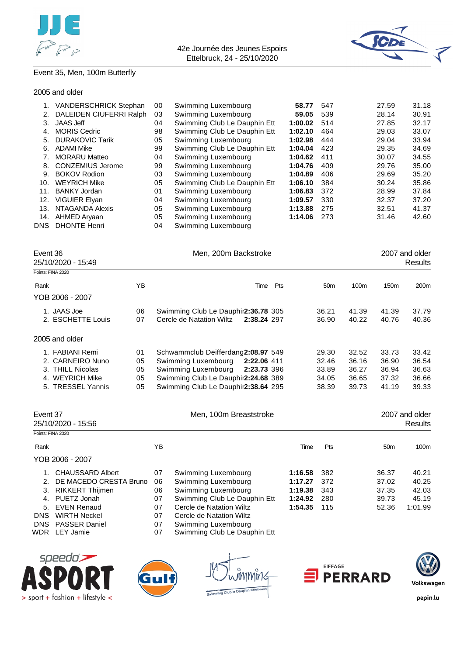



### Event 35, Men, 100m Butterfly

#### 2005 and older

| <b>VANDERSCHRICK Stephan</b> | 00 | Swimming Luxembourg          | 58.77   | 547 | 27.59 | 31.18 |
|------------------------------|----|------------------------------|---------|-----|-------|-------|
| DALEIDEN CIUFERRI Ralph      | 03 | Swimming Luxembourg          | 59.05   | 539 | 28.14 | 30.91 |
| <b>JAAS Jeff</b>             | 04 | Swimming Club Le Dauphin Ett | 1:00.02 | 514 | 27.85 | 32.17 |
| <b>MORIS Cedric</b>          | 98 | Swimming Club Le Dauphin Ett | 1:02.10 | 464 | 29.03 | 33.07 |
| <b>DURAKOVIC Tarik</b>       | 05 | Swimming Luxembourg          | 1:02.98 | 444 | 29.04 | 33.94 |
| <b>ADAMI Mike</b>            | 99 | Swimming Club Le Dauphin Ett | 1:04.04 | 423 | 29.35 | 34.69 |
| <b>MORARU Matteo</b>         | 04 | Swimming Luxembourg          | 1:04.62 | 411 | 30.07 | 34.55 |
| <b>CONZEMIUS Jerome</b>      | 99 | Swimming Luxembourg          | 1:04.76 | 409 | 29.76 | 35.00 |
| <b>BOKOV Rodion</b>          | 03 | Swimming Luxembourg          | 1:04.89 | 406 | 29.69 | 35.20 |
| <b>WEYRICH Mike</b>          | 05 | Swimming Club Le Dauphin Ett | 1:06.10 | 384 | 30.24 | 35.86 |
| <b>BANKY Jordan</b>          | 01 | Swimming Luxembourg          | 1:06.83 | 372 | 28.99 | 37.84 |
| <b>VIGUIER Elyan</b>         | 04 | Swimming Luxembourg          | 1:09.57 | 330 | 32.37 | 37.20 |
| NTAGANDA Alexis              | 05 | Swimming Luxembourg          | 1:13.88 | 275 | 32.51 | 41.37 |
| AHMED Aryaan                 | 05 | Swimming Luxembourg          | 1:14.06 | 273 | 31.46 | 42.60 |
| <b>DHONTE Henri</b>          | 04 | Swimming Luxembourg          |         |     |       |       |
|                              |    |                              |         |     |       |       |

| Men, 200m Backstroke<br>Event 36<br>25/10/2020 - 15:49                                          |                            |                                                                                                                                                                                              |     |                                           |                                           |                                           | 2007 and older<br>Results                 |
|-------------------------------------------------------------------------------------------------|----------------------------|----------------------------------------------------------------------------------------------------------------------------------------------------------------------------------------------|-----|-------------------------------------------|-------------------------------------------|-------------------------------------------|-------------------------------------------|
| Points: FINA 2020                                                                               |                            |                                                                                                                                                                                              |     |                                           |                                           |                                           |                                           |
| Rank                                                                                            | ΥB                         | Time                                                                                                                                                                                         | Pts | 50 <sub>m</sub>                           | 100m                                      | 150 <sub>m</sub>                          | 200m                                      |
| YOB 2006 - 2007                                                                                 |                            |                                                                                                                                                                                              |     |                                           |                                           |                                           |                                           |
| 1. JAAS Joe<br>2. ESCHETTE Louis                                                                | 06<br>07                   | Swimming Club Le Dauphir2:36.78 305<br>Cercle de Natation Wiltz<br>2:38.24 297                                                                                                               |     | 36.21<br>36.90                            | 41.39<br>40.22                            | 41.39<br>40.76                            | 37.79<br>40.36                            |
| 2005 and older                                                                                  |                            |                                                                                                                                                                                              |     |                                           |                                           |                                           |                                           |
| 1. FABIANI Remi<br>2. CARNEIRO Nuno<br>3. THILL Nicolas<br>4. WEYRICH Mike<br>5. TRESSEL Yannis | 01<br>05<br>05<br>05<br>05 | Schwammclub Deifferdang2:08.97 549<br>Swimming Luxembourg<br>2:22.06 411<br>Swimming Luxembourg<br>2:23.73 396<br>Swimming Club Le Dauphir2:24.68 389<br>Swimming Club Le Dauphir2:38.64 295 |     | 29.30<br>32.46<br>33.89<br>34.05<br>38.39 | 32.52<br>36.16<br>36.27<br>36.65<br>39.73 | 33.73<br>36.90<br>36.94<br>37.32<br>41.19 | 33.42<br>36.54<br>36.63<br>36.66<br>39.33 |

| Event 37          | 25/10/2020 - 15:56     |            | Men, 100m Breaststroke       |         |            |                 | 2007 and older<br>Results |
|-------------------|------------------------|------------|------------------------------|---------|------------|-----------------|---------------------------|
| Points: FINA 2020 |                        |            |                              |         |            |                 |                           |
| Rank              |                        | ΥB         |                              | Time    | <b>Pts</b> | 50 <sub>m</sub> | 100m                      |
|                   | YOB 2006 - 2007        |            |                              |         |            |                 |                           |
|                   | 1. CHAUSSARD Albert    | 07         | Swimming Luxembourg          | 1:16.58 | 382        | 36.37           | 40.21                     |
| 2.                | DE MACEDO CRESTA Bruno | 06         | Swimming Luxembourg          | 1:17.27 | 372        | 37.02           | 40.25                     |
| З.                | RIKKERT Thijmen        | 06         | Swimming Luxembourg          | 1:19.38 | 343        | 37.35           | 42.03                     |
|                   | 4. PUETZ Jonah         | 07         | Swimming Club Le Dauphin Ett | 1:24.92 | 280        | 39.73           | 45.19                     |
| 5.                | EVEN Renaud            | 07         | Cercle de Natation Wiltz     | 1:54.35 | 115        | 52.36           | 1:01.99                   |
| <b>DNS</b>        | WIRTH Neckel           | 07         | Cercle de Natation Wiltz     |         |            |                 |                           |
|                   | DNS PASSER Daniel      | 07         | Swimming Luxembourg          |         |            |                 |                           |
| $ \sim$           |                        | $\sim$ $-$ |                              |         |            |                 |                           |

WDR LEY Jamie 07 Swimming Club Le Dauphin Ett









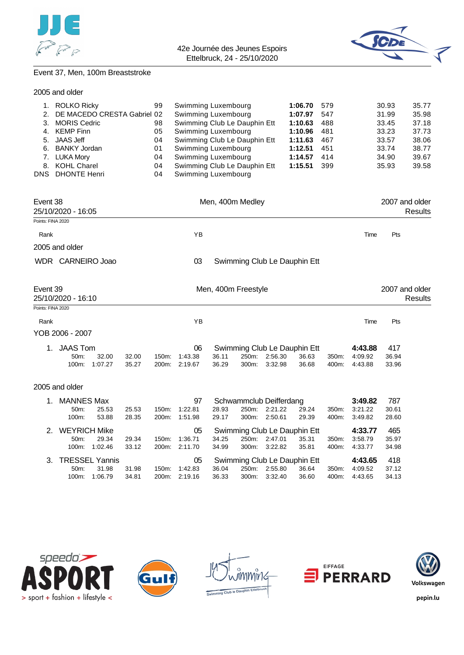



# Event 37, Men, 100m Breaststroke

|  |  | 2005 and older |
|--|--|----------------|
|--|--|----------------|

| 1.<br>2.<br>3.<br>5.<br>6.<br>DNS. | <b>ROLKO Ricky</b><br>DE MACEDO CRESTA Gabriel 02<br><b>MORIS Cedric</b><br>4. KEMP Finn<br><b>JAAS Jeff</b><br><b>BANKY Jordan</b><br>7. LUKA Mory<br>8. KOHL Charel<br><b>DHONTE Henri</b> |                        |                | 99<br>98<br>05<br>04<br>01<br>04<br>04<br>04 | Swimming Luxembourg<br>Swimming Luxembourg<br>Swimming Club Le Dauphin Ett<br>Swimming Luxembourg<br>Swimming Club Le Dauphin Ett<br>Swimming Luxembourg<br>Swimming Luxembourg<br>Swimming Club Le Dauphin Ett<br>Swimming Luxembourg |                     |                |                                               | 1:06.70<br>1:07.97<br>1:10.63<br>1:10.96<br>1:11.63<br>1:12.51<br>1:14.57<br>1:15.51 | 579<br>547<br>488<br>481<br>467<br>451<br>414<br>399 |                               | 30.93<br>31.99<br>33.45<br>33.23<br>33.57<br>33.74<br>34.90<br>35.93 | 35.77<br>35.98<br>37.18<br>37.73<br>38.06<br>38.77<br>39.67<br>39.58 |
|------------------------------------|----------------------------------------------------------------------------------------------------------------------------------------------------------------------------------------------|------------------------|----------------|----------------------------------------------|----------------------------------------------------------------------------------------------------------------------------------------------------------------------------------------------------------------------------------------|---------------------|----------------|-----------------------------------------------|--------------------------------------------------------------------------------------|------------------------------------------------------|-------------------------------|----------------------------------------------------------------------|----------------------------------------------------------------------|
| Event 38                           | 25/10/2020 - 16:05                                                                                                                                                                           |                        |                |                                              |                                                                                                                                                                                                                                        | Men, 400m Medley    |                |                                               |                                                                                      |                                                      |                               |                                                                      | 2007 and older<br><b>Results</b>                                     |
| Points: FINA 2020                  |                                                                                                                                                                                              |                        |                |                                              |                                                                                                                                                                                                                                        |                     |                |                                               |                                                                                      |                                                      |                               |                                                                      |                                                                      |
| Rank                               |                                                                                                                                                                                              |                        |                |                                              | YB                                                                                                                                                                                                                                     |                     |                |                                               |                                                                                      |                                                      | Time                          | Pts                                                                  |                                                                      |
|                                    | 2005 and older                                                                                                                                                                               |                        |                |                                              |                                                                                                                                                                                                                                        |                     |                |                                               |                                                                                      |                                                      |                               |                                                                      |                                                                      |
|                                    | WDR CARNEIRO Joao                                                                                                                                                                            |                        |                |                                              | 03                                                                                                                                                                                                                                     |                     |                |                                               | Swimming Club Le Dauphin Ett                                                         |                                                      |                               |                                                                      |                                                                      |
| Event 39                           | 25/10/2020 - 16:10                                                                                                                                                                           |                        |                |                                              |                                                                                                                                                                                                                                        | Men, 400m Freestyle |                |                                               |                                                                                      |                                                      |                               |                                                                      | 2007 and older<br><b>Results</b>                                     |
| Points: FINA 2020                  |                                                                                                                                                                                              |                        |                |                                              |                                                                                                                                                                                                                                        |                     |                |                                               |                                                                                      |                                                      |                               |                                                                      |                                                                      |
| Rank                               |                                                                                                                                                                                              |                        |                |                                              | YB                                                                                                                                                                                                                                     |                     |                |                                               |                                                                                      |                                                      | Time                          | Pts                                                                  |                                                                      |
|                                    | YOB 2006 - 2007                                                                                                                                                                              |                        |                |                                              |                                                                                                                                                                                                                                        |                     |                |                                               |                                                                                      |                                                      |                               |                                                                      |                                                                      |
| 1.                                 | <b>JAAS Tom</b><br>50m:                                                                                                                                                                      | 32.00<br>100m: 1:07.27 | 32.00<br>35.27 | 150m:                                        | 06<br>1:43.38<br>200m: 2:19.67                                                                                                                                                                                                         | 36.11<br>36.29      | 250m:<br>300m: | 2:56.30<br>3:32.98                            | Swimming Club Le Dauphin Ett<br>36.63<br>36.68                                       | 350m:<br>400m:                                       | 4:43.88<br>4:09.92<br>4:43.88 | 417<br>36.94<br>33.96                                                |                                                                      |
|                                    | 2005 and older                                                                                                                                                                               |                        |                |                                              |                                                                                                                                                                                                                                        |                     |                |                                               |                                                                                      |                                                      |                               |                                                                      |                                                                      |
| 1.                                 | <b>MANNES Max</b><br>50m:<br>100m:                                                                                                                                                           | 25.53<br>53.88         | 25.53<br>28.35 | 150m:<br>200m:                               | 97<br>1:22.81<br>1:51.98                                                                                                                                                                                                               | 28.93<br>29.17      | 250m:<br>300m: | Schwammclub Deifferdang<br>2:21.22<br>2:50.61 | 29.24<br>29.39                                                                       | 350m:<br>400m:                                       | 3:49.82<br>3:21.22<br>3:49.82 | 787<br>30.61<br>28.60                                                |                                                                      |
| 2.                                 | <b>WEYRICH Mike</b><br>50m:                                                                                                                                                                  | 29.34<br>100m: 1:02.46 | 29.34<br>33.12 | 150m:                                        | 05<br>1:36.71<br>200m: 2:11.70                                                                                                                                                                                                         | 34.25<br>34.99      | 250m:<br>300m: | 2:47.01<br>3:22.82                            | Swimming Club Le Dauphin Ett<br>35.31<br>35.81                                       | 350m:<br>400m:                                       | 4:33.77<br>3:58.79<br>4:33.77 | 465<br>35.97<br>34.98                                                |                                                                      |
| 3.                                 | <b>TRESSEL Yannis</b><br>50m:                                                                                                                                                                | 31.98<br>100m: 1:06.79 | 31.98<br>34.81 | 150m:                                        | 05<br>1:42.83<br>200m: 2:19.16                                                                                                                                                                                                         | 36.04<br>36.33      | 250m:          | 2:55.80<br>300m: 3:32.40                      | Swimming Club Le Dauphin Ett<br>36.64<br>36.60                                       | 350m:<br>400m:                                       | 4:43.65<br>4:09.52<br>4:43.65 | 418<br>37.12<br>34.13                                                |                                                                      |









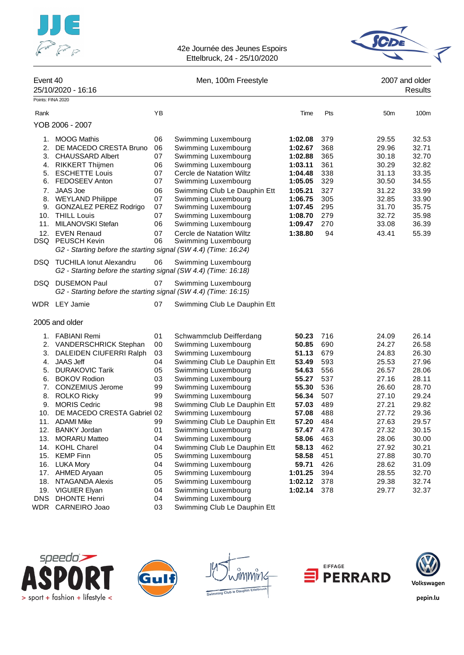



| Event 40                                                                                     | 25/10/2020 - 16:16                                                                                                                                                                                                                                                                                                                                                                                                                          |                                                                                                          | Men, 100m Freestyle                                                                                                                                                                                                                                                                                                                                                                                                                                                                       |                                                                                                                                                                               |                                                                                                                                   |                                                                                                                                                                         | 2007 and older<br>Results                                                                                                                                               |
|----------------------------------------------------------------------------------------------|---------------------------------------------------------------------------------------------------------------------------------------------------------------------------------------------------------------------------------------------------------------------------------------------------------------------------------------------------------------------------------------------------------------------------------------------|----------------------------------------------------------------------------------------------------------|-------------------------------------------------------------------------------------------------------------------------------------------------------------------------------------------------------------------------------------------------------------------------------------------------------------------------------------------------------------------------------------------------------------------------------------------------------------------------------------------|-------------------------------------------------------------------------------------------------------------------------------------------------------------------------------|-----------------------------------------------------------------------------------------------------------------------------------|-------------------------------------------------------------------------------------------------------------------------------------------------------------------------|-------------------------------------------------------------------------------------------------------------------------------------------------------------------------|
| Points: FINA 2020                                                                            |                                                                                                                                                                                                                                                                                                                                                                                                                                             |                                                                                                          |                                                                                                                                                                                                                                                                                                                                                                                                                                                                                           |                                                                                                                                                                               |                                                                                                                                   |                                                                                                                                                                         |                                                                                                                                                                         |
| Rank                                                                                         |                                                                                                                                                                                                                                                                                                                                                                                                                                             | YB                                                                                                       |                                                                                                                                                                                                                                                                                                                                                                                                                                                                                           | Time                                                                                                                                                                          | Pts                                                                                                                               | 50 <sub>m</sub>                                                                                                                                                         | 100m                                                                                                                                                                    |
|                                                                                              | YOB 2006 - 2007                                                                                                                                                                                                                                                                                                                                                                                                                             |                                                                                                          |                                                                                                                                                                                                                                                                                                                                                                                                                                                                                           |                                                                                                                                                                               |                                                                                                                                   |                                                                                                                                                                         |                                                                                                                                                                         |
| 1.<br>2.<br>3.<br>4.<br>5.<br>6.<br>7.<br>8.<br>9.<br>10.<br>11.<br>12.                      | <b>MOOG Mathis</b><br>DE MACEDO CRESTA Bruno<br><b>CHAUSSARD Albert</b><br><b>RIKKERT Thijmen</b><br><b>ESCHETTE Louis</b><br><b>FEDOSEEV Anton</b><br><b>JAAS Joe</b><br><b>WEYLAND Philippe</b><br>GONZALEZ PEREZ Rodrigo<br><b>THILL Louis</b><br>MILANOVSKI Stefan<br><b>EVEN Renaud</b><br><b>DSQ</b> PEUSCH Kevin<br>G2 - Starting before the starting signal (SW 4.4) (Time: 16:24)                                                  | 06<br>06<br>07<br>06<br>07<br>07<br>06<br>07<br>07<br>07<br>06<br>07<br>06                               | Swimming Luxembourg<br>Swimming Luxembourg<br>Swimming Luxembourg<br>Swimming Luxembourg<br>Cercle de Natation Wiltz<br>Swimming Luxembourg<br>Swimming Club Le Dauphin Ett<br>Swimming Luxembourg<br>Swimming Luxembourg<br>Swimming Luxembourg<br>Swimming Luxembourg<br>Cercle de Natation Wiltz<br>Swimming Luxembourg                                                                                                                                                                | 1:02.08<br>1:02.67<br>1:02.88<br>1:03.11<br>1:04.48<br>1:05.05<br>1:05.21<br>1:06.75<br>1:07.45<br>1:08.70<br>1:09.47<br>1:38.80                                              | 379<br>368<br>365<br>361<br>338<br>329<br>327<br>305<br>295<br>279<br>270<br>94                                                   | 29.55<br>29.96<br>30.18<br>30.29<br>31.13<br>30.50<br>31.22<br>32.85<br>31.70<br>32.72<br>33.08<br>43.41                                                                | 32.53<br>32.71<br>32.70<br>32.82<br>33.35<br>34.55<br>33.99<br>33.90<br>35.75<br>35.98<br>36.39<br>55.39                                                                |
| DSQ.                                                                                         | <b>TUCHILA Ionut Alexandru</b><br>G2 - Starting before the starting signal (SW 4.4) (Time: 16:18)                                                                                                                                                                                                                                                                                                                                           | 06                                                                                                       | Swimming Luxembourg                                                                                                                                                                                                                                                                                                                                                                                                                                                                       |                                                                                                                                                                               |                                                                                                                                   |                                                                                                                                                                         |                                                                                                                                                                         |
| DSQ.                                                                                         | <b>DUSEMON Paul</b><br>G2 - Starting before the starting signal (SW 4.4) (Time: 16:15)                                                                                                                                                                                                                                                                                                                                                      | 07                                                                                                       | Swimming Luxembourg                                                                                                                                                                                                                                                                                                                                                                                                                                                                       |                                                                                                                                                                               |                                                                                                                                   |                                                                                                                                                                         |                                                                                                                                                                         |
|                                                                                              | WDR LEY Jamie                                                                                                                                                                                                                                                                                                                                                                                                                               | 07                                                                                                       | Swimming Club Le Dauphin Ett                                                                                                                                                                                                                                                                                                                                                                                                                                                              |                                                                                                                                                                               |                                                                                                                                   |                                                                                                                                                                         |                                                                                                                                                                         |
|                                                                                              | 2005 and older                                                                                                                                                                                                                                                                                                                                                                                                                              |                                                                                                          |                                                                                                                                                                                                                                                                                                                                                                                                                                                                                           |                                                                                                                                                                               |                                                                                                                                   |                                                                                                                                                                         |                                                                                                                                                                         |
| 1.<br>2.<br>3.<br>4.<br>5.<br>6.<br>7.<br>8.<br>9.<br>10.<br>11.<br>12.<br>13.<br>17.<br>18. | <b>FABIANI Remi</b><br><b>VANDERSCHRICK Stephan</b><br>DALEIDEN CIUFERRI Ralph<br><b>JAAS Jeff</b><br><b>DURAKOVIC Tarik</b><br><b>BOKOV Rodion</b><br><b>CONZEMIUS Jerome</b><br><b>ROLKO Ricky</b><br><b>MORIS Cedric</b><br>DE MACEDO CRESTA Gabriel 02<br><b>ADAMI Mike</b><br><b>BANKY Jordan</b><br><b>MORARU Matteo</b><br>14. KOHL Charel<br>15. KEMP Finn<br>16. LUKA Mory<br>AHMED Aryaan<br>NTAGANDA Alexis<br>19. VIGUIER Elyan | 01<br>00<br>03<br>04<br>05<br>03<br>99<br>99<br>98<br>99<br>01<br>04<br>04<br>05<br>04<br>05<br>05<br>04 | Schwammclub Deifferdang<br>Swimming Luxembourg<br>Swimming Luxembourg<br>Swimming Club Le Dauphin Ett<br>Swimming Luxembourg<br>Swimming Luxembourg<br>Swimming Luxembourg<br>Swimming Luxembourg<br>Swimming Club Le Dauphin Ett<br>Swimming Luxembourg<br>Swimming Club Le Dauphin Ett<br>Swimming Luxembourg<br>Swimming Luxembourg<br>Swimming Club Le Dauphin Ett<br>Swimming Luxembourg<br>Swimming Luxembourg<br>Swimming Luxembourg<br>Swimming Luxembourg<br>Swimming Luxembourg | 50.23<br>50.85<br>51.13<br>53.49<br>54.63<br>55.27<br>55.30<br>56.34<br>57.03<br>57.08<br>57.20<br>57.47<br>58.06<br>58.13<br>58.58<br>59.71<br>1:01.25<br>1:02.12<br>1:02.14 | 716<br>690<br>679<br>593<br>556<br>537<br>536<br>507<br>489<br>488<br>484<br>478<br>463<br>462<br>451<br>426<br>394<br>378<br>378 | 24.09<br>24.27<br>24.83<br>25.53<br>26.57<br>27.16<br>26.60<br>27.10<br>27.21<br>27.72<br>27.63<br>27.32<br>28.06<br>27.92<br>27.88<br>28.62<br>28.55<br>29.38<br>29.77 | 26.14<br>26.58<br>26.30<br>27.96<br>28.06<br>28.11<br>28.70<br>29.24<br>29.82<br>29.36<br>29.57<br>30.15<br>30.00<br>30.21<br>30.70<br>31.09<br>32.70<br>32.74<br>32.37 |
| <b>DNS</b>                                                                                   | <b>DHONTE Henri</b><br>WDR CARNEIRO Joao                                                                                                                                                                                                                                                                                                                                                                                                    | 04<br>03                                                                                                 | Swimming Luxembourg<br>Swimming Club Le Dauphin Ett                                                                                                                                                                                                                                                                                                                                                                                                                                       |                                                                                                                                                                               |                                                                                                                                   |                                                                                                                                                                         |                                                                                                                                                                         |





niv12 to Davo